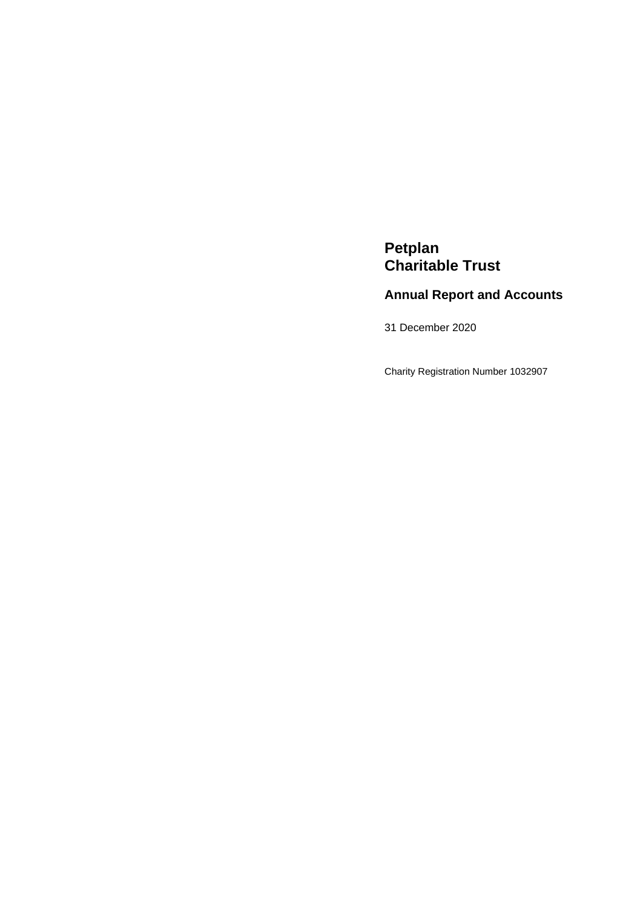# **Petplan Charitable Trust**

# **Annual Report and Accounts**

31 December 2020

Charity Registration Number 1032907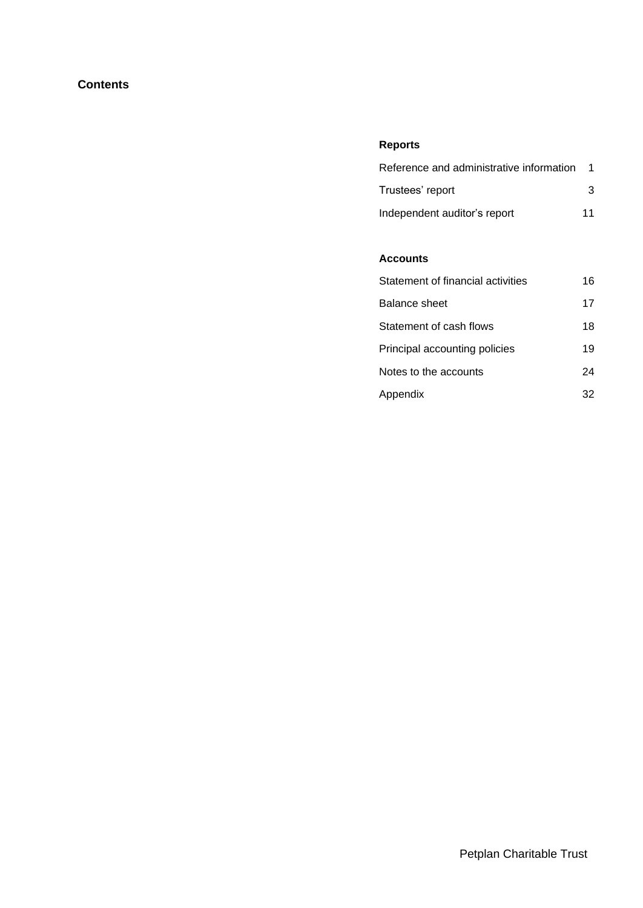## **Contents**

# **Reports**

| Reference and administrative information |    |
|------------------------------------------|----|
| Trustees' report                         | 3  |
| Independent auditor's report             | 11 |

## **Accounts**

| Statement of financial activities | 16 |
|-----------------------------------|----|
| Balance sheet                     | 17 |
| Statement of cash flows           | 18 |
| Principal accounting policies     | 19 |
| Notes to the accounts             | 24 |
| Appendix                          | 32 |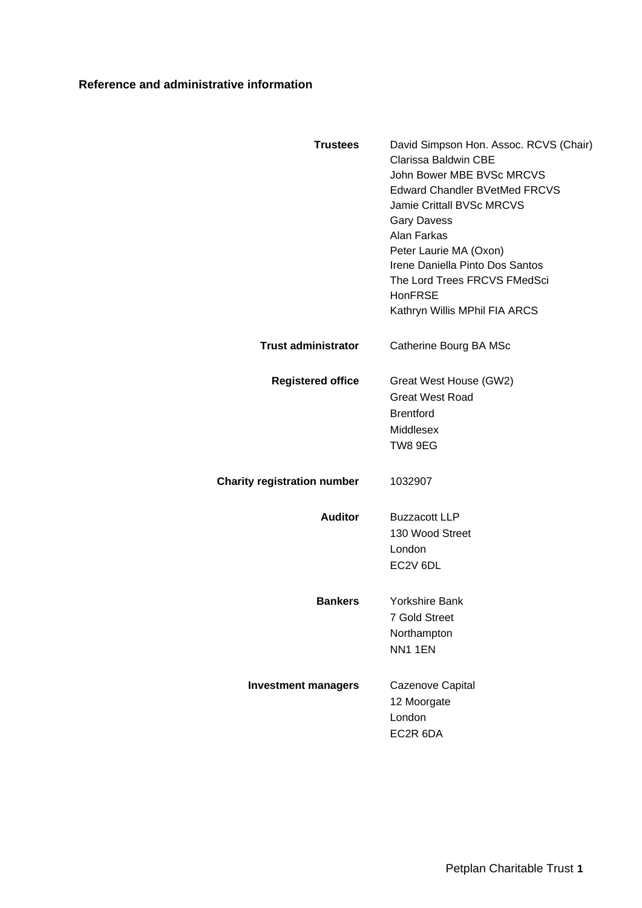# **Reference and administrative information**

<span id="page-2-0"></span>

| <b>Trustees</b>                    | David Simpson Hon. Assoc. RCVS (Chair)<br>Clarissa Baldwin CBE<br>John Bower MBE BVSc MRCVS                 |
|------------------------------------|-------------------------------------------------------------------------------------------------------------|
|                                    | <b>Edward Chandler BVetMed FRCVS</b><br>Jamie Crittall BVSc MRCVS<br><b>Gary Davess</b><br>Alan Farkas      |
|                                    | Peter Laurie MA (Oxon)<br>Irene Daniella Pinto Dos Santos<br>The Lord Trees FRCVS FMedSci<br><b>HonFRSE</b> |
|                                    | Kathryn Willis MPhil FIA ARCS                                                                               |
| <b>Trust administrator</b>         | Catherine Bourg BA MSc                                                                                      |
| <b>Registered office</b>           | Great West House (GW2)                                                                                      |
|                                    | <b>Great West Road</b><br><b>Brentford</b>                                                                  |
|                                    | Middlesex                                                                                                   |
|                                    | TW8 9EG                                                                                                     |
| <b>Charity registration number</b> | 1032907                                                                                                     |
| <b>Auditor</b>                     | <b>Buzzacott LLP</b>                                                                                        |
|                                    | 130 Wood Street                                                                                             |
|                                    | London                                                                                                      |
|                                    | EC2V 6DL                                                                                                    |
| <b>Bankers</b>                     | <b>Yorkshire Bank</b>                                                                                       |
|                                    | <b>7 Gold Street</b>                                                                                        |
|                                    | Northampton                                                                                                 |
|                                    | NN1 1EN                                                                                                     |
| <b>Investment managers</b>         | Cazenove Capital                                                                                            |
|                                    | 12 Moorgate                                                                                                 |
|                                    | London                                                                                                      |
|                                    | EC2R 6DA                                                                                                    |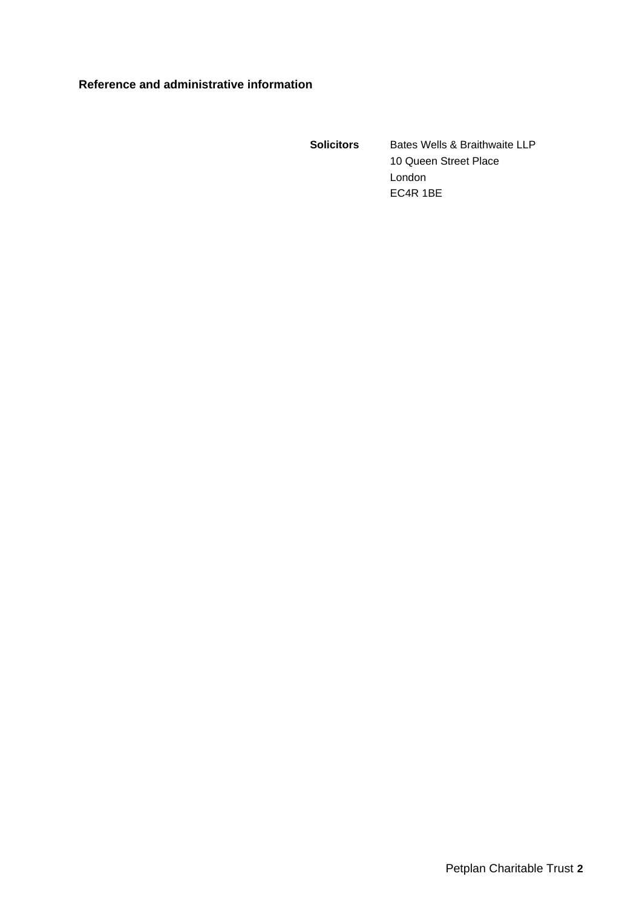## **Reference and administrative information**

**Solicitors** Bates Wells & Braithwaite LLP 10 Queen Street Place London EC4R 1BE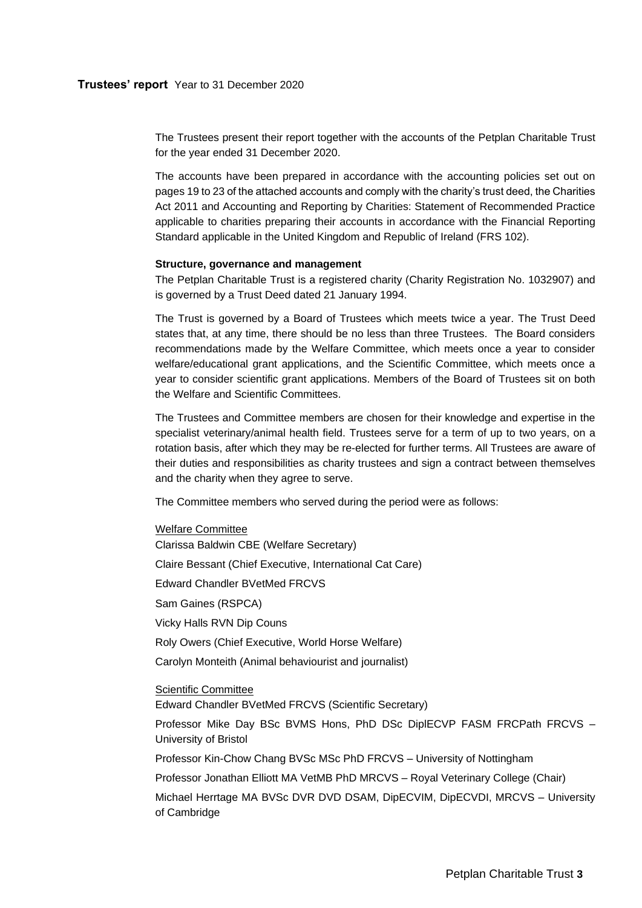<span id="page-4-0"></span>The Trustees present their report together with the accounts of the Petplan Charitable Trust for the year ended 31 December 2020.

The accounts have been prepared in accordance with the accounting policies set out on pages 19 to 23 of the attached accounts and comply with the charity's trust deed, the Charities Act 2011 and Accounting and Reporting by Charities: Statement of Recommended Practice applicable to charities preparing their accounts in accordance with the Financial Reporting Standard applicable in the United Kingdom and Republic of Ireland (FRS 102).

## **Structure, governance and management**

The Petplan Charitable Trust is a registered charity (Charity Registration No. 1032907) and is governed by a Trust Deed dated 21 January 1994.

The Trust is governed by a Board of Trustees which meets twice a year. The Trust Deed states that, at any time, there should be no less than three Trustees. The Board considers recommendations made by the Welfare Committee, which meets once a year to consider welfare/educational grant applications, and the Scientific Committee, which meets once a year to consider scientific grant applications. Members of the Board of Trustees sit on both the Welfare and Scientific Committees.

The Trustees and Committee members are chosen for their knowledge and expertise in the specialist veterinary/animal health field. Trustees serve for a term of up to two years, on a rotation basis, after which they may be re-elected for further terms. All Trustees are aware of their duties and responsibilities as charity trustees and sign a contract between themselves and the charity when they agree to serve.

The Committee members who served during the period were as follows:

#### Welfare Committee

Clarissa Baldwin CBE (Welfare Secretary) Claire Bessant (Chief Executive, International Cat Care) Edward Chandler BVetMed FRCVS Sam Gaines (RSPCA) Vicky Halls RVN Dip Couns Roly Owers (Chief Executive, World Horse Welfare) Carolyn Monteith (Animal behaviourist and journalist) Scientific Committee

Edward Chandler BVetMed FRCVS (Scientific Secretary)

Professor Mike Day BSc BVMS Hons, PhD DSc DiplECVP FASM FRCPath FRCVS – University of Bristol

Professor Kin-Chow Chang BVSc MSc PhD FRCVS – University of Nottingham

Professor Jonathan Elliott MA VetMB PhD MRCVS – Royal Veterinary College (Chair)

Michael Herrtage MA BVSc DVR DVD DSAM, DipECVIM, DipECVDI, MRCVS – University of Cambridge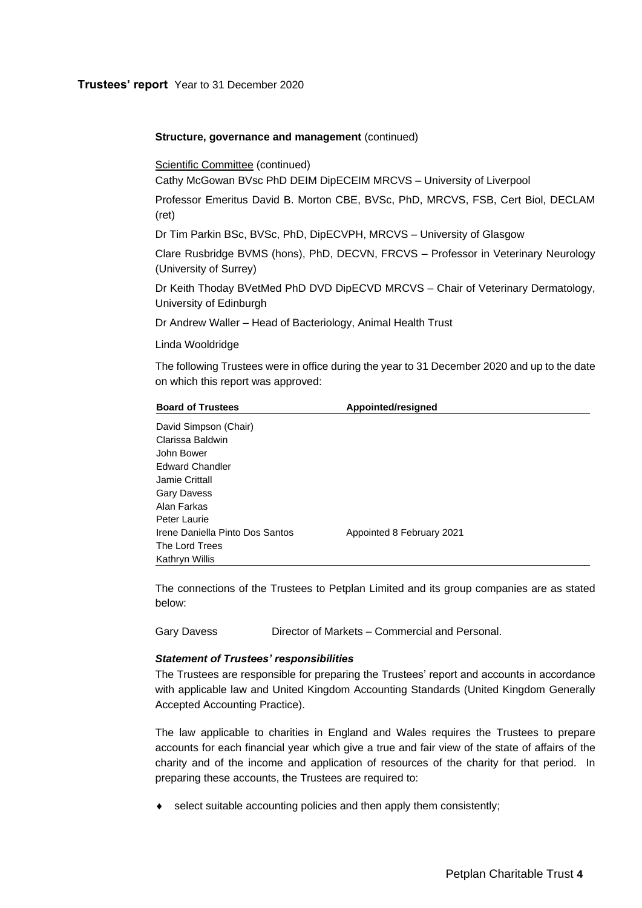## **Trustees' report** Year to 31 December 2020

### **Structure, governance and management (continued)**

Scientific Committee (continued)

Cathy McGowan BVsc PhD DEIM DipECEIM MRCVS – University of Liverpool

Professor Emeritus David B. Morton CBE, BVSc, PhD, MRCVS, FSB, Cert Biol, DECLAM (ret)

Dr Tim Parkin BSc, BVSc, PhD, DipECVPH, MRCVS – University of Glasgow

Clare Rusbridge BVMS (hons), PhD, DECVN, FRCVS – Professor in Veterinary Neurology (University of Surrey)

Dr Keith Thoday BVetMed PhD DVD DipECVD MRCVS – Chair of Veterinary Dermatology, University of Edinburgh

Dr Andrew Waller – Head of Bacteriology, Animal Health Trust

Linda Wooldridge

The following Trustees were in office during the year to 31 December 2020 and up to the date on which this report was approved:

| <b>Board of Trustees</b>        | Appointed/resigned        |  |  |  |  |
|---------------------------------|---------------------------|--|--|--|--|
| David Simpson (Chair)           |                           |  |  |  |  |
| Clarissa Baldwin                |                           |  |  |  |  |
| John Bower                      |                           |  |  |  |  |
| <b>Edward Chandler</b>          |                           |  |  |  |  |
| Jamie Crittall                  |                           |  |  |  |  |
| <b>Gary Davess</b>              |                           |  |  |  |  |
| Alan Farkas                     |                           |  |  |  |  |
| Peter Laurie                    |                           |  |  |  |  |
| Irene Daniella Pinto Dos Santos | Appointed 8 February 2021 |  |  |  |  |
| The Lord Trees                  |                           |  |  |  |  |
| Kathryn Willis                  |                           |  |  |  |  |

The connections of the Trustees to Petplan Limited and its group companies are as stated below:

Gary Davess Director of Markets – Commercial and Personal.

## *Statement of Trustees' responsibilities*

The Trustees are responsible for preparing the Trustees' report and accounts in accordance with applicable law and United Kingdom Accounting Standards (United Kingdom Generally Accepted Accounting Practice).

The law applicable to charities in England and Wales requires the Trustees to prepare accounts for each financial year which give a true and fair view of the state of affairs of the charity and of the income and application of resources of the charity for that period. In preparing these accounts, the Trustees are required to:

select suitable accounting policies and then apply them consistently;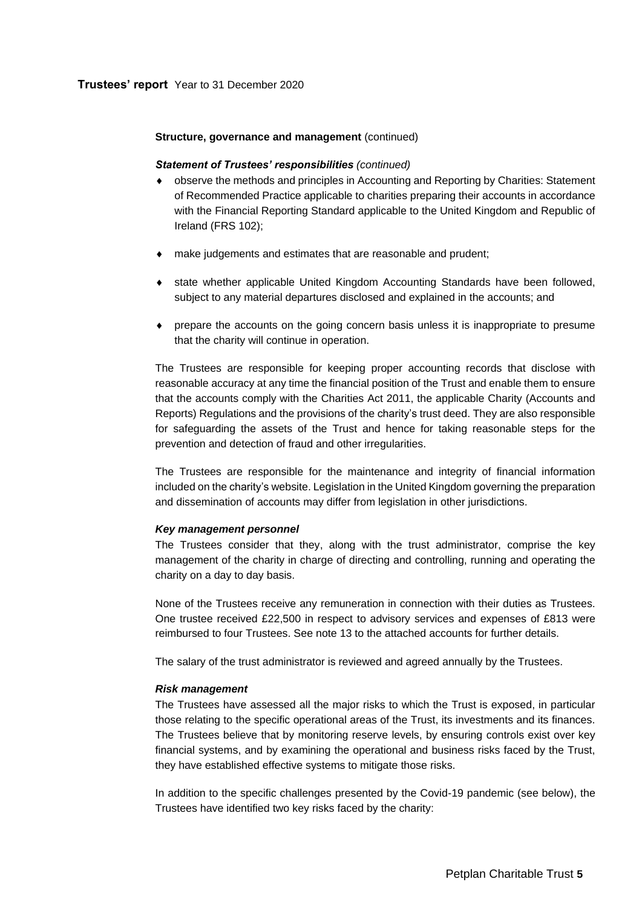## **Structure, governance and management (continued)**

## *Statement of Trustees' responsibilities (continued)*

- observe the methods and principles in Accounting and Reporting by Charities: Statement of Recommended Practice applicable to charities preparing their accounts in accordance with the Financial Reporting Standard applicable to the United Kingdom and Republic of Ireland (FRS 102);
- make judgements and estimates that are reasonable and prudent;
- state whether applicable United Kingdom Accounting Standards have been followed, subject to any material departures disclosed and explained in the accounts; and
- prepare the accounts on the going concern basis unless it is inappropriate to presume that the charity will continue in operation.

The Trustees are responsible for keeping proper accounting records that disclose with reasonable accuracy at any time the financial position of the Trust and enable them to ensure that the accounts comply with the Charities Act 2011, the applicable Charity (Accounts and Reports) Regulations and the provisions of the charity's trust deed. They are also responsible for safeguarding the assets of the Trust and hence for taking reasonable steps for the prevention and detection of fraud and other irregularities.

The Trustees are responsible for the maintenance and integrity of financial information included on the charity's website. Legislation in the United Kingdom governing the preparation and dissemination of accounts may differ from legislation in other jurisdictions.

## *Key management personnel*

The Trustees consider that they, along with the trust administrator, comprise the key management of the charity in charge of directing and controlling, running and operating the charity on a day to day basis.

None of the Trustees receive any remuneration in connection with their duties as Trustees. One trustee received £22,500 in respect to advisory services and expenses of £813 were reimbursed to four Trustees. See note 13 to the attached accounts for further details.

The salary of the trust administrator is reviewed and agreed annually by the Trustees.

## *Risk management*

The Trustees have assessed all the major risks to which the Trust is exposed, in particular those relating to the specific operational areas of the Trust, its investments and its finances. The Trustees believe that by monitoring reserve levels, by ensuring controls exist over key financial systems, and by examining the operational and business risks faced by the Trust, they have established effective systems to mitigate those risks.

In addition to the specific challenges presented by the Covid-19 pandemic (see below), the Trustees have identified two key risks faced by the charity: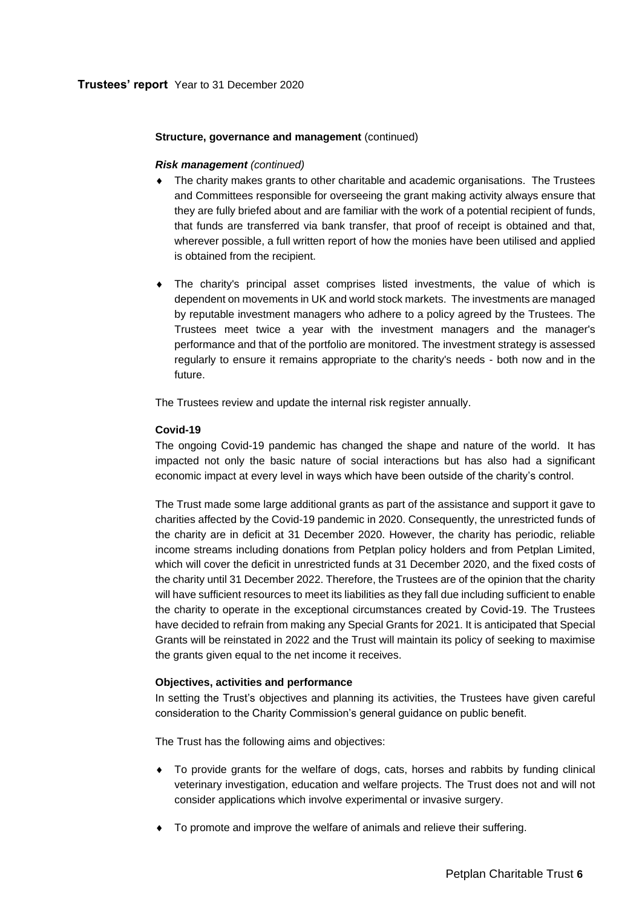## **Structure, governance and management (continued)**

## *Risk management (continued)*

- The charity makes grants to other charitable and academic organisations. The Trustees and Committees responsible for overseeing the grant making activity always ensure that they are fully briefed about and are familiar with the work of a potential recipient of funds, that funds are transferred via bank transfer, that proof of receipt is obtained and that, wherever possible, a full written report of how the monies have been utilised and applied is obtained from the recipient.
- The charity's principal asset comprises listed investments, the value of which is dependent on movements in UK and world stock markets. The investments are managed by reputable investment managers who adhere to a policy agreed by the Trustees. The Trustees meet twice a year with the investment managers and the manager's performance and that of the portfolio are monitored. The investment strategy is assessed regularly to ensure it remains appropriate to the charity's needs - both now and in the future.

The Trustees review and update the internal risk register annually.

## **Covid-19**

The ongoing Covid-19 pandemic has changed the shape and nature of the world. It has impacted not only the basic nature of social interactions but has also had a significant economic impact at every level in ways which have been outside of the charity's control.

The Trust made some large additional grants as part of the assistance and support it gave to charities affected by the Covid-19 pandemic in 2020. Consequently, the unrestricted funds of the charity are in deficit at 31 December 2020. However, the charity has periodic, reliable income streams including donations from Petplan policy holders and from Petplan Limited, which will cover the deficit in unrestricted funds at 31 December 2020, and the fixed costs of the charity until 31 December 2022. Therefore, the Trustees are of the opinion that the charity will have sufficient resources to meet its liabilities as they fall due including sufficient to enable the charity to operate in the exceptional circumstances created by Covid-19. The Trustees have decided to refrain from making any Special Grants for 2021. It is anticipated that Special Grants will be reinstated in 2022 and the Trust will maintain its policy of seeking to maximise the grants given equal to the net income it receives.

## **Objectives, activities and performance**

In setting the Trust's objectives and planning its activities, the Trustees have given careful consideration to the Charity Commission's general guidance on public benefit.

The Trust has the following aims and objectives:

- To provide grants for the welfare of dogs, cats, horses and rabbits by funding clinical veterinary investigation, education and welfare projects. The Trust does not and will not consider applications which involve experimental or invasive surgery.
- To promote and improve the welfare of animals and relieve their suffering.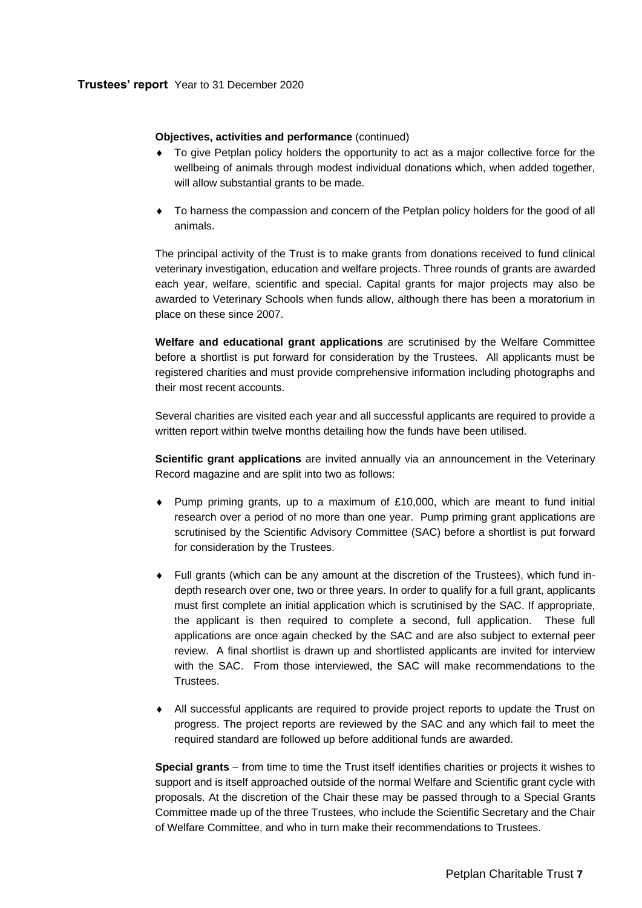## **Objectives, activities and performance** (continued)

- To give Petplan policy holders the opportunity to act as a major collective force for the wellbeing of animals through modest individual donations which, when added together, will allow substantial grants to be made.
- To harness the compassion and concern of the Petplan policy holders for the good of all animals.

The principal activity of the Trust is to make grants from donations received to fund clinical veterinary investigation, education and welfare projects. Three rounds of grants are awarded each year, welfare, scientific and special. Capital grants for major projects may also be awarded to Veterinary Schools when funds allow, although there has been a moratorium in place on these since 2007.

**Welfare and educational grant applications** are scrutinised by the Welfare Committee before a shortlist is put forward for consideration by the Trustees. All applicants must be registered charities and must provide comprehensive information including photographs and their most recent accounts.

Several charities are visited each year and all successful applicants are required to provide a written report within twelve months detailing how the funds have been utilised.

**Scientific grant applications** are invited annually via an announcement in the Veterinary Record magazine and are split into two as follows:

- Pump priming grants, up to a maximum of £10,000, which are meant to fund initial research over a period of no more than one year. Pump priming grant applications are scrutinised by the Scientific Advisory Committee (SAC) before a shortlist is put forward for consideration by the Trustees.
- Full grants (which can be any amount at the discretion of the Trustees), which fund indepth research over one, two or three years. In order to qualify for a full grant, applicants must first complete an initial application which is scrutinised by the SAC. If appropriate, the applicant is then required to complete a second, full application. These full applications are once again checked by the SAC and are also subject to external peer review. A final shortlist is drawn up and shortlisted applicants are invited for interview with the SAC. From those interviewed, the SAC will make recommendations to the Trustees.
- All successful applicants are required to provide project reports to update the Trust on progress. The project reports are reviewed by the SAC and any which fail to meet the required standard are followed up before additional funds are awarded.

**Special grants** – from time to time the Trust itself identifies charities or projects it wishes to support and is itself approached outside of the normal Welfare and Scientific grant cycle with proposals. At the discretion of the Chair these may be passed through to a Special Grants Committee made up of the three Trustees, who include the Scientific Secretary and the Chair of Welfare Committee, and who in turn make their recommendations to Trustees.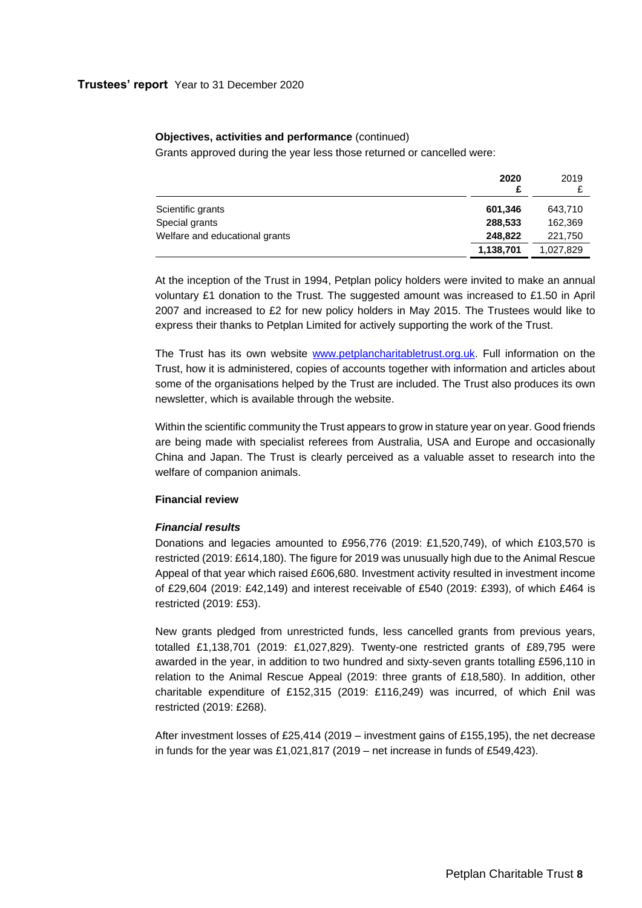#### **Objectives, activities and performance** (continued)

Grants approved during the year less those returned or cancelled were:

|                                | 2020<br>£ | 2019      |
|--------------------------------|-----------|-----------|
| Scientific grants              | 601.346   | 643.710   |
| Special grants                 | 288,533   | 162.369   |
| Welfare and educational grants | 248,822   | 221,750   |
|                                | 1,138,701 | 1,027,829 |

At the inception of the Trust in 1994, Petplan policy holders were invited to make an annual voluntary £1 donation to the Trust. The suggested amount was increased to £1.50 in April 2007 and increased to £2 for new policy holders in May 2015. The Trustees would like to express their thanks to Petplan Limited for actively supporting the work of the Trust.

The Trust has its own website [www.petplancharitabletrust.org.uk.](http://www.petplancharitabletrust.org.uk/) Full information on the Trust, how it is administered, copies of accounts together with information and articles about some of the organisations helped by the Trust are included. The Trust also produces its own newsletter, which is available through the website.

Within the scientific community the Trust appears to grow in stature year on year. Good friends are being made with specialist referees from Australia, USA and Europe and occasionally China and Japan. The Trust is clearly perceived as a valuable asset to research into the welfare of companion animals.

## **Financial review**

## *Financial results*

Donations and legacies amounted to £956,776 (2019: £1,520,749), of which £103,570 is restricted (2019: £614,180). The figure for 2019 was unusually high due to the Animal Rescue Appeal of that year which raised £606,680. Investment activity resulted in investment income of £29,604 (2019: £42,149) and interest receivable of £540 (2019: £393), of which £464 is restricted (2019: £53).

New grants pledged from unrestricted funds, less cancelled grants from previous years, totalled £1,138,701 (2019: £1,027,829). Twenty-one restricted grants of £89,795 were awarded in the year, in addition to two hundred and sixty-seven grants totalling £596,110 in relation to the Animal Rescue Appeal (2019: three grants of £18,580). In addition, other charitable expenditure of £152,315 (2019: £116,249) was incurred, of which £nil was restricted (2019: £268).

After investment losses of £25,414 (2019 – investment gains of £155,195), the net decrease in funds for the year was £1,021,817 (2019 – net increase in funds of £549,423).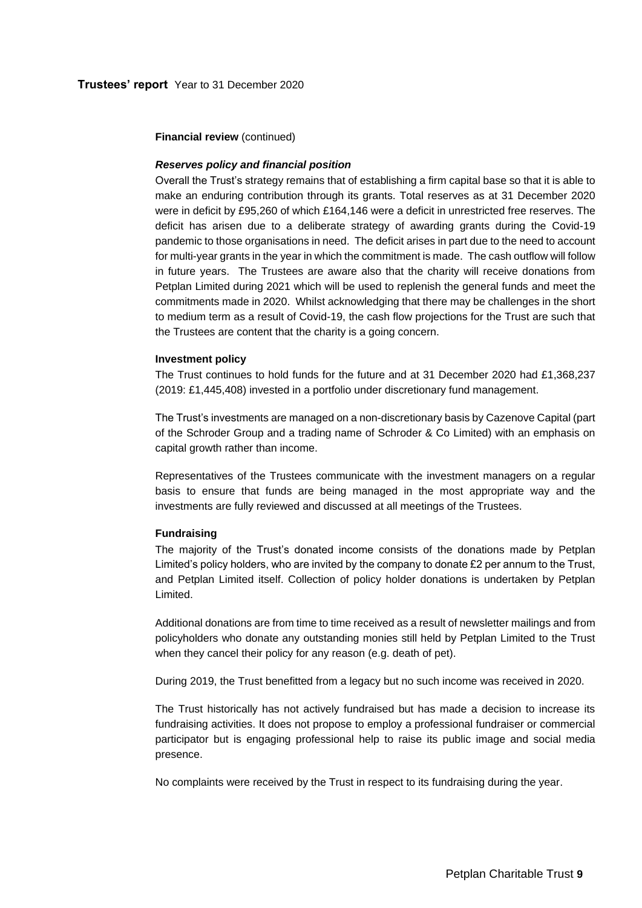**Financial review** (continued)

## *Reserves policy and financial position*

Overall the Trust's strategy remains that of establishing a firm capital base so that it is able to make an enduring contribution through its grants. Total reserves as at 31 December 2020 were in deficit by £95,260 of which £164,146 were a deficit in unrestricted free reserves. The deficit has arisen due to a deliberate strategy of awarding grants during the Covid-19 pandemic to those organisations in need. The deficit arises in part due to the need to account for multi-year grants in the year in which the commitment is made. The cash outflow will follow in future years. The Trustees are aware also that the charity will receive donations from Petplan Limited during 2021 which will be used to replenish the general funds and meet the commitments made in 2020. Whilst acknowledging that there may be challenges in the short to medium term as a result of Covid-19, the cash flow projections for the Trust are such that the Trustees are content that the charity is a going concern.

#### **Investment policy**

The Trust continues to hold funds for the future and at 31 December 2020 had £1,368,237 (2019: £1,445,408) invested in a portfolio under discretionary fund management.

The Trust's investments are managed on a non-discretionary basis by Cazenove Capital (part of the Schroder Group and a trading name of Schroder & Co Limited) with an emphasis on capital growth rather than income.

Representatives of the Trustees communicate with the investment managers on a regular basis to ensure that funds are being managed in the most appropriate way and the investments are fully reviewed and discussed at all meetings of the Trustees.

#### **Fundraising**

The majority of the Trust's donated income consists of the donations made by Petplan Limited's policy holders, who are invited by the company to donate £2 per annum to the Trust, and Petplan Limited itself. Collection of policy holder donations is undertaken by Petplan Limited.

Additional donations are from time to time received as a result of newsletter mailings and from policyholders who donate any outstanding monies still held by Petplan Limited to the Trust when they cancel their policy for any reason (e.g. death of pet).

During 2019, the Trust benefitted from a legacy but no such income was received in 2020.

The Trust historically has not actively fundraised but has made a decision to increase its fundraising activities. It does not propose to employ a professional fundraiser or commercial participator but is engaging professional help to raise its public image and social media presence.

No complaints were received by the Trust in respect to its fundraising during the year.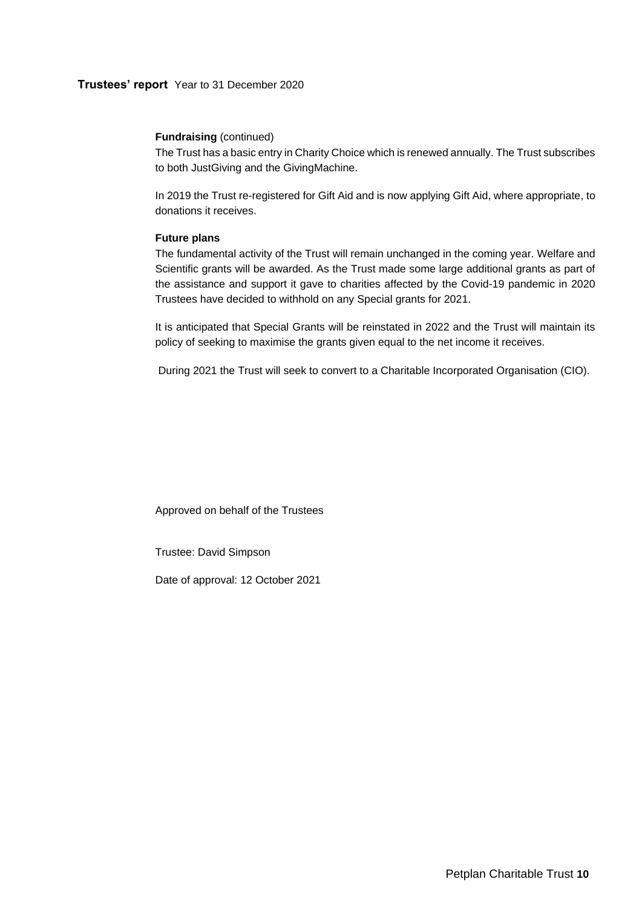## **Trustees' report** Year to 31 December 2020

## **Fundraising** (continued)

The Trust has a basic entry in Charity Choice which is renewed annually. The Trust subscribes to both JustGiving and the GivingMachine.

In 2019 the Trust re-registered for Gift Aid and is now applying Gift Aid, where appropriate, to donations it receives.

## **Future plans**

The fundamental activity of the Trust will remain unchanged in the coming year. Welfare and Scientific grants will be awarded. As the Trust made some large additional grants as part of the assistance and support it gave to charities affected by the Covid-19 pandemic in 2020 Trustees have decided to withhold on any Special grants for 2021.

It is anticipated that Special Grants will be reinstated in 2022 and the Trust will maintain its policy of seeking to maximise the grants given equal to the net income it receives.

During 2021 the Trust will seek to convert to a Charitable Incorporated Organisation (CIO).

Approved on behalf of the Trustees

Trustee: David Simpson

Date of approval: 12 October 2021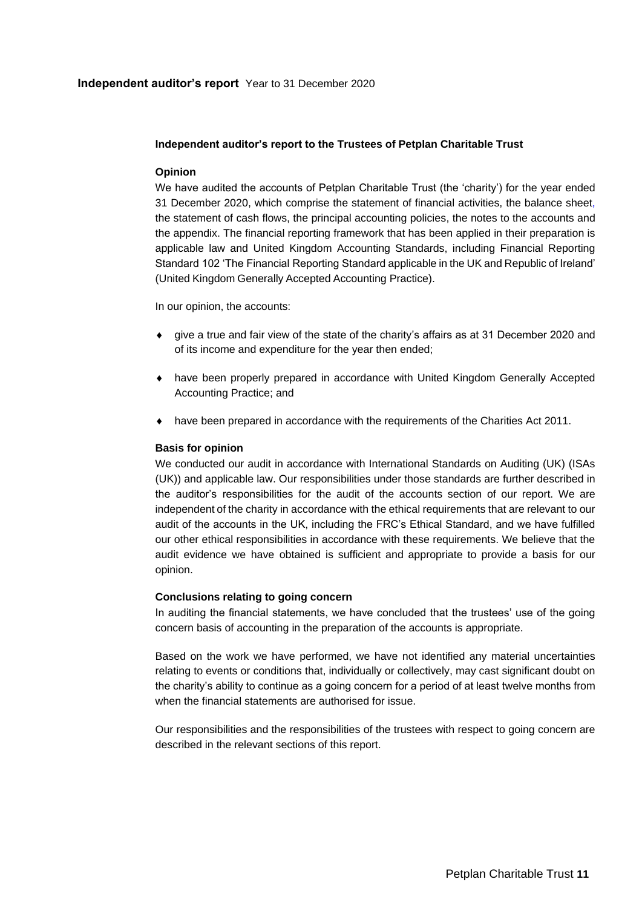## **Independent auditor's report** Year to 31 December 2020

## <span id="page-12-0"></span>**Independent auditor's report to the Trustees of Petplan Charitable Trust**

## **Opinion**

We have audited the accounts of Petplan Charitable Trust (the 'charity') for the year ended 31 December 2020, which comprise the statement of financial activities, the balance sheet, the statement of cash flows, the principal accounting policies, the notes to the accounts and the appendix. The financial reporting framework that has been applied in their preparation is applicable law and United Kingdom Accounting Standards, including Financial Reporting Standard 102 'The Financial Reporting Standard applicable in the UK and Republic of Ireland' (United Kingdom Generally Accepted Accounting Practice).

In our opinion, the accounts:

- give a true and fair view of the state of the charity's affairs as at 31 December 2020 and of its income and expenditure for the year then ended;
- have been properly prepared in accordance with United Kingdom Generally Accepted Accounting Practice; and
- have been prepared in accordance with the requirements of the Charities Act 2011.

## **Basis for opinion**

We conducted our audit in accordance with International Standards on Auditing (UK) (ISAs (UK)) and applicable law. Our responsibilities under those standards are further described in the auditor's responsibilities for the audit of the accounts section of our report. We are independent of the charity in accordance with the ethical requirements that are relevant to our audit of the accounts in the UK, including the FRC's Ethical Standard, and we have fulfilled our other ethical responsibilities in accordance with these requirements. We believe that the audit evidence we have obtained is sufficient and appropriate to provide a basis for our opinion.

## **Conclusions relating to going concern**

In auditing the financial statements, we have concluded that the trustees' use of the going concern basis of accounting in the preparation of the accounts is appropriate.

Based on the work we have performed, we have not identified any material uncertainties relating to events or conditions that, individually or collectively, may cast significant doubt on the charity's ability to continue as a going concern for a period of at least twelve months from when the financial statements are authorised for issue.

Our responsibilities and the responsibilities of the trustees with respect to going concern are described in the relevant sections of this report.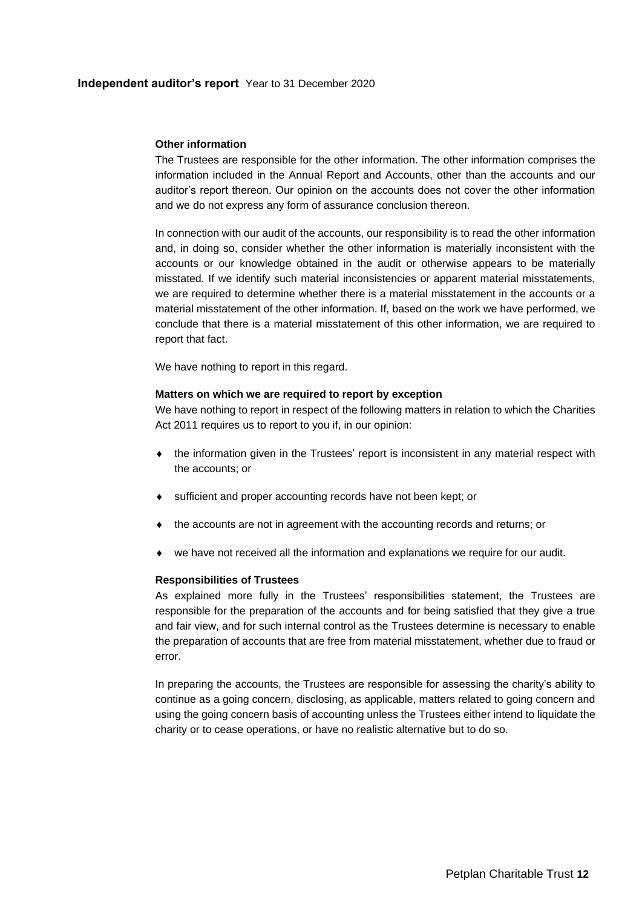## **Independent auditor's report** Year to 31 December 2020

#### **Other information**

The Trustees are responsible for the other information. The other information comprises the information included in the Annual Report and Accounts, other than the accounts and our auditor's report thereon. Our opinion on the accounts does not cover the other information and we do not express any form of assurance conclusion thereon.

In connection with our audit of the accounts, our responsibility is to read the other information and, in doing so, consider whether the other information is materially inconsistent with the accounts or our knowledge obtained in the audit or otherwise appears to be materially misstated. If we identify such material inconsistencies or apparent material misstatements, we are required to determine whether there is a material misstatement in the accounts or a material misstatement of the other information. If, based on the work we have performed, we conclude that there is a material misstatement of this other information, we are required to report that fact.

We have nothing to report in this regard.

## **Matters on which we are required to report by exception**

We have nothing to report in respect of the following matters in relation to which the Charities Act 2011 requires us to report to you if, in our opinion:

- the information given in the Trustees' report is inconsistent in any material respect with the accounts; or
- sufficient and proper accounting records have not been kept; or
- the accounts are not in agreement with the accounting records and returns; or
- we have not received all the information and explanations we require for our audit.

#### **Responsibilities of Trustees**

As explained more fully in the Trustees' responsibilities statement, the Trustees are responsible for the preparation of the accounts and for being satisfied that they give a true and fair view, and for such internal control as the Trustees determine is necessary to enable the preparation of accounts that are free from material misstatement, whether due to fraud or error.

In preparing the accounts, the Trustees are responsible for assessing the charity's ability to continue as a going concern, disclosing, as applicable, matters related to going concern and using the going concern basis of accounting unless the Trustees either intend to liquidate the charity or to cease operations, or have no realistic alternative but to do so.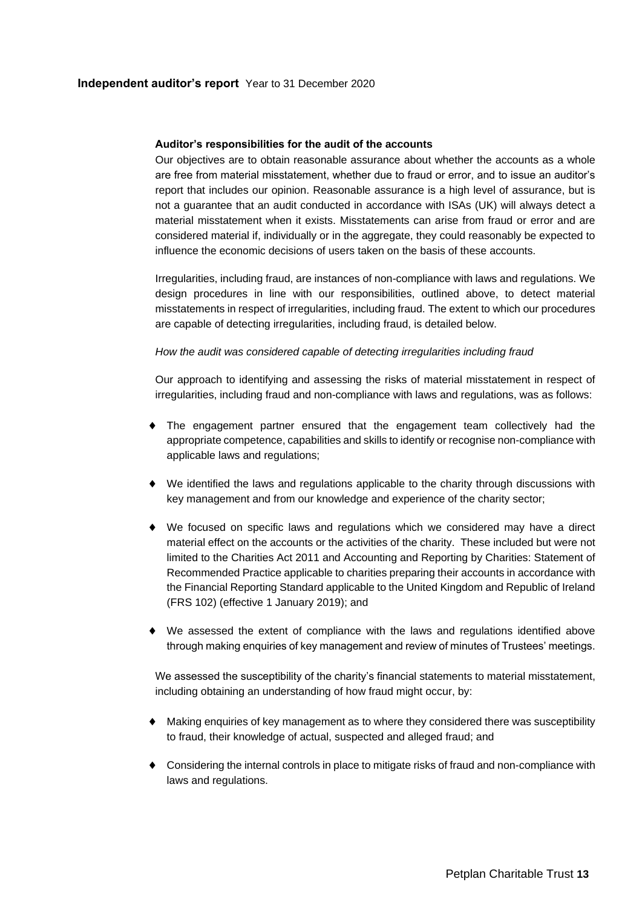## **Auditor's responsibilities for the audit of the accounts**

Our objectives are to obtain reasonable assurance about whether the accounts as a whole are free from material misstatement, whether due to fraud or error, and to issue an auditor's report that includes our opinion. Reasonable assurance is a high level of assurance, but is not a guarantee that an audit conducted in accordance with ISAs (UK) will always detect a material misstatement when it exists. Misstatements can arise from fraud or error and are considered material if, individually or in the aggregate, they could reasonably be expected to influence the economic decisions of users taken on the basis of these accounts.

Irregularities, including fraud, are instances of non-compliance with laws and regulations. We design procedures in line with our responsibilities, outlined above, to detect material misstatements in respect of irregularities, including fraud. The extent to which our procedures are capable of detecting irregularities, including fraud, is detailed below.

## *How the audit was considered capable of detecting irregularities including fraud*

Our approach to identifying and assessing the risks of material misstatement in respect of irregularities, including fraud and non-compliance with laws and regulations, was as follows:

- The engagement partner ensured that the engagement team collectively had the appropriate competence, capabilities and skills to identify or recognise non-compliance with applicable laws and regulations;
- We identified the laws and regulations applicable to the charity through discussions with key management and from our knowledge and experience of the charity sector;
- We focused on specific laws and regulations which we considered may have a direct material effect on the accounts or the activities of the charity. These included but were not limited to the Charities Act 2011 and Accounting and Reporting by Charities: Statement of Recommended Practice applicable to charities preparing their accounts in accordance with the Financial Reporting Standard applicable to the United Kingdom and Republic of Ireland (FRS 102) (effective 1 January 2019); and
- We assessed the extent of compliance with the laws and regulations identified above through making enquiries of key management and review of minutes of Trustees' meetings.

We assessed the susceptibility of the charity's financial statements to material misstatement, including obtaining an understanding of how fraud might occur, by:

- Making enquiries of key management as to where they considered there was susceptibility to fraud, their knowledge of actual, suspected and alleged fraud; and
- Considering the internal controls in place to mitigate risks of fraud and non-compliance with laws and regulations.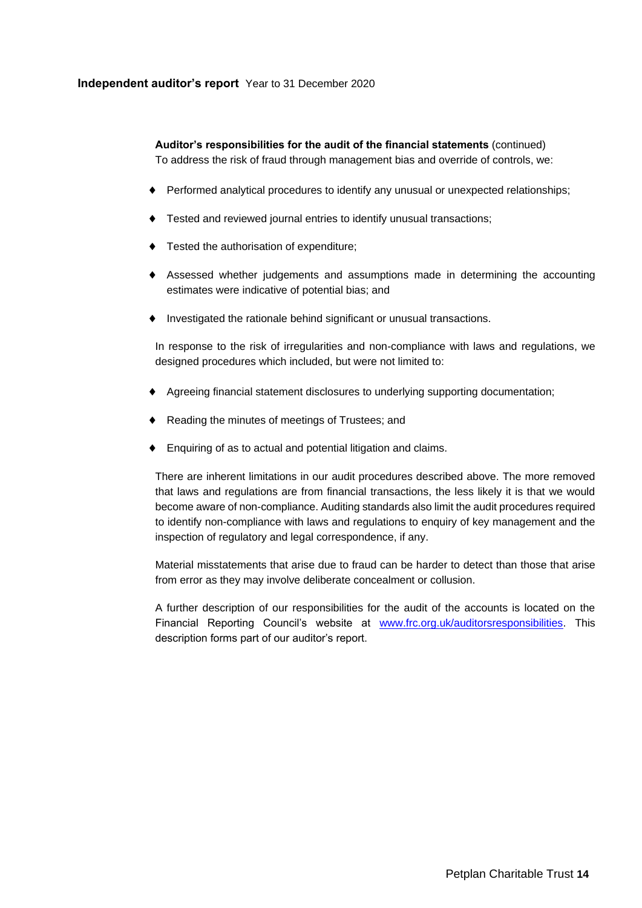## **Independent auditor's report** Year to 31 December 2020

**Auditor's responsibilities for the audit of the financial statements** (continued) To address the risk of fraud through management bias and override of controls, we:

- Performed analytical procedures to identify any unusual or unexpected relationships;
- Tested and reviewed journal entries to identify unusual transactions;
- $\bullet$  Tested the authorisation of expenditure;
- Assessed whether judgements and assumptions made in determining the accounting estimates were indicative of potential bias; and
- Investigated the rationale behind significant or unusual transactions.

In response to the risk of irregularities and non-compliance with laws and regulations, we designed procedures which included, but were not limited to:

- Agreeing financial statement disclosures to underlying supporting documentation;
- Reading the minutes of meetings of Trustees; and
- Enquiring of as to actual and potential litigation and claims.

There are inherent limitations in our audit procedures described above. The more removed that laws and regulations are from financial transactions, the less likely it is that we would become aware of non-compliance. Auditing standards also limit the audit procedures required to identify non-compliance with laws and regulations to enquiry of key management and the inspection of regulatory and legal correspondence, if any.

Material misstatements that arise due to fraud can be harder to detect than those that arise from error as they may involve deliberate concealment or collusion.

A further description of our responsibilities for the audit of the accounts is located on the Financial Reporting Council's website at [www.frc.org.uk/auditorsresponsibilities.](http://www.frc.org.uk/auditorsresponsibilities) This description forms part of our auditor's report.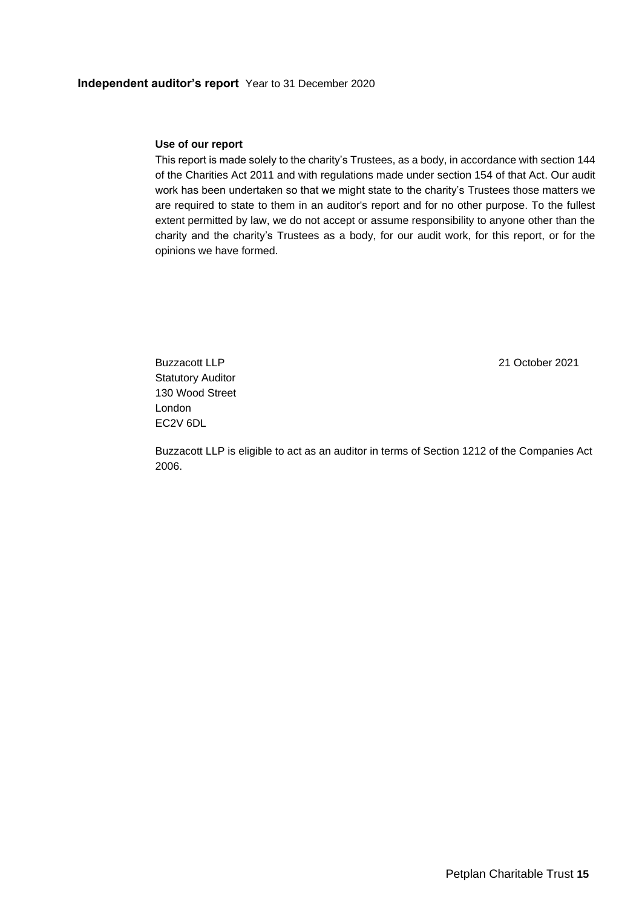## **Independent auditor's report** Year to 31 December 2020

#### **Use of our report**

This report is made solely to the charity's Trustees, as a body, in accordance with section 144 of the Charities Act 2011 and with regulations made under section 154 of that Act. Our audit work has been undertaken so that we might state to the charity's Trustees those matters we are required to state to them in an auditor's report and for no other purpose. To the fullest extent permitted by law, we do not accept or assume responsibility to anyone other than the charity and the charity's Trustees as a body, for our audit work, for this report, or for the opinions we have formed.

Buzzacott LLP 21 October 2021 Statutory Auditor 130 Wood Street London EC2V 6DL

Buzzacott LLP is eligible to act as an auditor in terms of Section 1212 of the Companies Act 2006.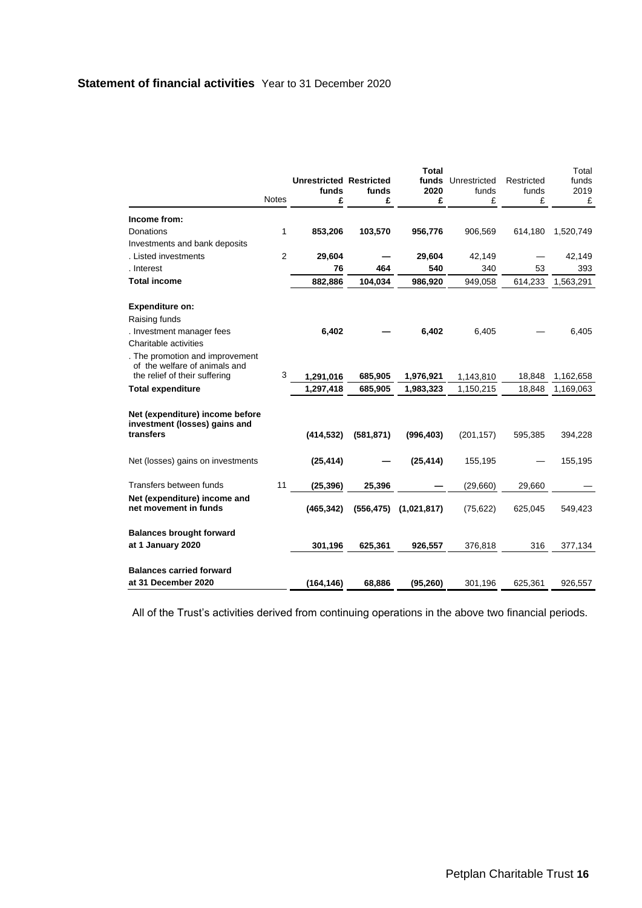## **Statement of financial activities** Year to 31 December 2020

<span id="page-17-0"></span>

|                                                       |                | <b>Unrestricted Restricted</b> |            | <b>Total</b><br>funds | Unrestricted | Restricted | Total<br>funds |
|-------------------------------------------------------|----------------|--------------------------------|------------|-----------------------|--------------|------------|----------------|
|                                                       | <b>Notes</b>   | funds                          | funds      | 2020                  | funds        | funds      | 2019           |
|                                                       |                | £                              | £          | £                     | £            | £          | £              |
| Income from:                                          |                |                                |            |                       |              |            |                |
| Donations                                             | 1              | 853,206                        | 103,570    | 956,776               | 906,569      | 614,180    | 1,520,749      |
| Investments and bank deposits                         |                |                                |            |                       |              |            |                |
| . Listed investments                                  | $\overline{2}$ | 29,604                         |            | 29,604                | 42,149       |            | 42,149         |
| . Interest                                            |                | 76                             | 464        | 540                   | 340          | 53         | 393            |
| <b>Total income</b>                                   |                | 882,886                        | 104,034    | 986,920               | 949,058      | 614,233    | 1,563,291      |
| <b>Expenditure on:</b>                                |                |                                |            |                       |              |            |                |
| Raising funds                                         |                |                                |            |                       |              |            |                |
| . Investment manager fees                             |                | 6,402                          |            | 6,402                 | 6,405        |            | 6,405          |
| Charitable activities                                 |                |                                |            |                       |              |            |                |
| . The promotion and improvement                       |                |                                |            |                       |              |            |                |
| of the welfare of animals and                         | 3              |                                |            |                       |              |            |                |
| the relief of their suffering                         |                | 1,291,016                      | 685,905    | 1,976,921             | 1,143,810    | 18,848     | 1,162,658      |
| <b>Total expenditure</b>                              |                | 1,297,418                      | 685,905    | 1,983,323             | 1,150,215    | 18,848     | 1,169,063      |
| Net (expenditure) income before                       |                |                                |            |                       |              |            |                |
| investment (losses) gains and                         |                |                                |            |                       |              |            |                |
| transfers                                             |                | (414, 532)                     | (581, 871) | (996, 403)            | (201, 157)   | 595,385    | 394,228        |
|                                                       |                |                                |            |                       |              |            |                |
| Net (losses) gains on investments                     |                | (25, 414)                      |            | (25, 414)             | 155,195      |            | 155,195        |
|                                                       |                |                                |            |                       |              |            |                |
| Transfers between funds                               | 11             | (25, 396)                      | 25,396     |                       | (29,660)     | 29,660     |                |
| Net (expenditure) income and<br>net movement in funds |                | (465, 342)                     | (556, 475) | (1,021,817)           | (75, 622)    | 625,045    | 549,423        |
|                                                       |                |                                |            |                       |              |            |                |
| <b>Balances brought forward</b>                       |                |                                |            |                       |              |            |                |
| at 1 January 2020                                     |                | 301,196                        | 625,361    | 926,557               | 376,818      | 316        | 377,134        |
|                                                       |                |                                |            |                       |              |            |                |
| <b>Balances carried forward</b>                       |                |                                |            |                       |              |            |                |
| at 31 December 2020                                   |                | (164, 146)                     | 68,886     | (95, 260)             | 301,196      | 625,361    | 926,557        |

All of the Trust's activities derived from continuing operations in the above two financial periods.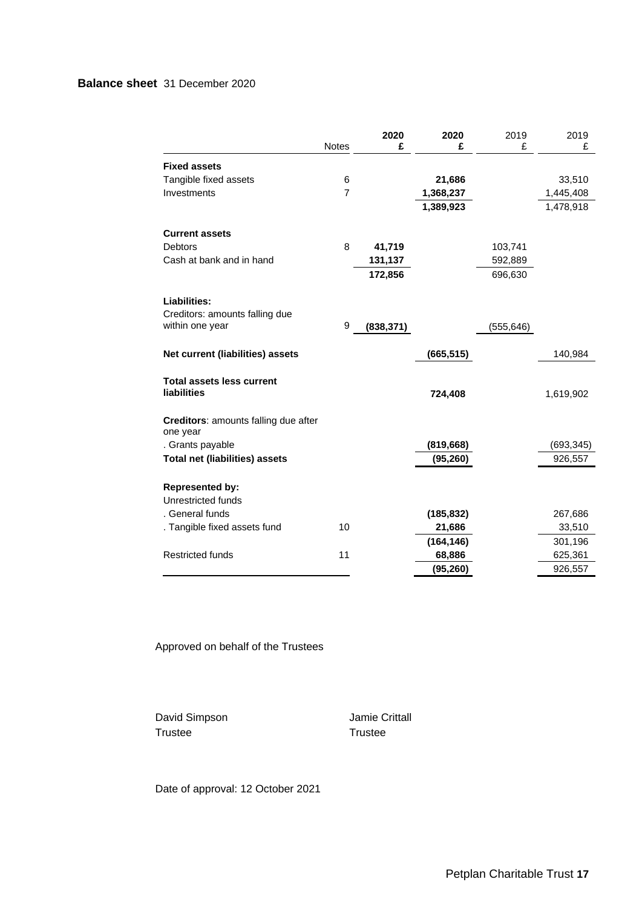## **Balance sheet** 31 December 2020

<span id="page-18-0"></span>

|                                                         |                | 2020       | 2020       | 2019       | 2019       |
|---------------------------------------------------------|----------------|------------|------------|------------|------------|
|                                                         | Notes          | £          | £          | £          | £          |
| <b>Fixed assets</b>                                     |                |            |            |            |            |
| Tangible fixed assets                                   | 6              |            | 21,686     |            | 33,510     |
| Investments                                             | $\overline{7}$ |            | 1,368,237  |            | 1,445,408  |
|                                                         |                |            | 1,389,923  |            | 1,478,918  |
| <b>Current assets</b>                                   |                |            |            |            |            |
| <b>Debtors</b>                                          | 8              | 41,719     |            | 103,741    |            |
| Cash at bank and in hand                                |                | 131,137    |            | 592,889    |            |
|                                                         |                | 172,856    |            | 696,630    |            |
| Liabilities:                                            |                |            |            |            |            |
| Creditors: amounts falling due                          |                |            |            |            |            |
| within one year                                         | 9              | (838, 371) |            | (555, 646) |            |
| Net current (liabilities) assets                        |                |            | (665, 515) |            | 140,984    |
| <b>Total assets less current</b><br>liabilities         |                |            | 724,408    |            | 1,619,902  |
| <b>Creditors:</b> amounts falling due after<br>one year |                |            |            |            |            |
| . Grants payable                                        |                |            | (819, 668) |            | (693, 345) |
| <b>Total net (liabilities) assets</b>                   |                |            | (95, 260)  |            | 926,557    |
| <b>Represented by:</b>                                  |                |            |            |            |            |
| Unrestricted funds                                      |                |            |            |            |            |
| . General funds                                         |                |            | (185, 832) |            | 267,686    |
| . Tangible fixed assets fund                            | 10             |            | 21,686     |            | 33,510     |
|                                                         |                |            | (164, 146) |            | 301,196    |
| <b>Restricted funds</b>                                 | 11             |            | 68,886     |            | 625,361    |
|                                                         |                |            | (95, 260)  |            | 926,557    |

Approved on behalf of the Trustees

David Simpson **Jamie Crittall** Trustee Trustee

Date of approval: 12 October 2021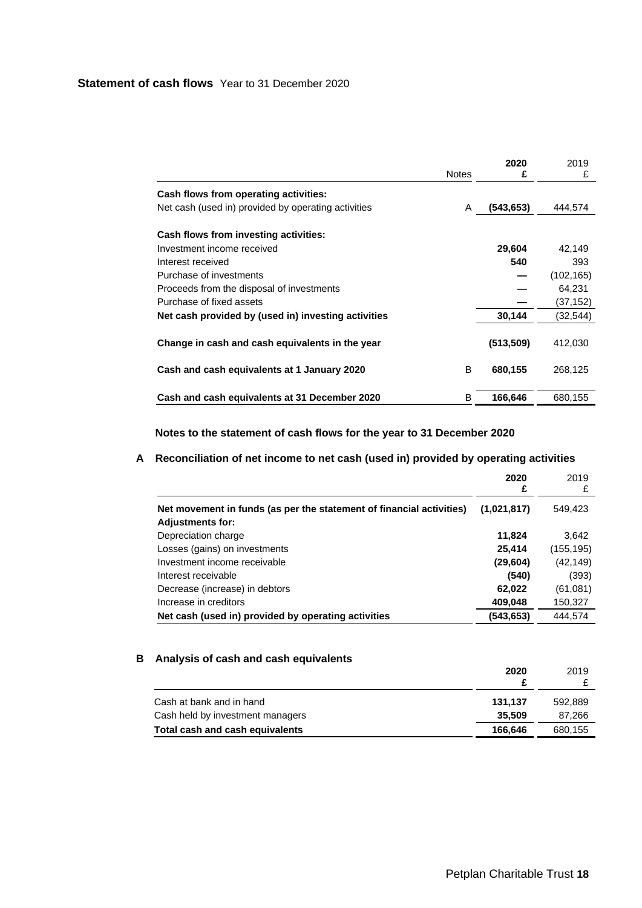<span id="page-19-0"></span>

|                                                     | <b>Notes</b> | 2020<br>£  | 2019<br>£  |
|-----------------------------------------------------|--------------|------------|------------|
| Cash flows from operating activities:               |              |            |            |
| Net cash (used in) provided by operating activities | A            | (543, 653) | 444,574    |
| Cash flows from investing activities:               |              |            |            |
| Investment income received                          |              | 29,604     | 42.149     |
| Interest received                                   |              | 540        | 393        |
| Purchase of investments                             |              |            | (102, 165) |
| Proceeds from the disposal of investments           |              |            | 64,231     |
| Purchase of fixed assets                            |              |            | (37,152)   |
| Net cash provided by (used in) investing activities |              | 30,144     | (32,544)   |
| Change in cash and cash equivalents in the year     |              | (513, 509) | 412,030    |
| Cash and cash equivalents at 1 January 2020         | B            | 680,155    | 268,125    |
| Cash and cash equivalents at 31 December 2020       | B            | 166,646    | 680,155    |

**Notes to the statement of cash flows for the year to 31 December 2020**

## **A Reconciliation of net income to net cash (used in) provided by operating activities**

|                                                                                                 | 2020<br>£   | 2019       |
|-------------------------------------------------------------------------------------------------|-------------|------------|
| Net movement in funds (as per the statement of financial activities)<br><b>Adjustments for:</b> | (1,021,817) | 549,423    |
| Depreciation charge                                                                             | 11,824      | 3,642      |
| Losses (gains) on investments                                                                   | 25,414      | (155, 195) |
| Investment income receivable                                                                    | (29, 604)   | (42, 149)  |
| Interest receivable                                                                             | (540)       | (393)      |
| Decrease (increase) in debtors                                                                  | 62,022      | (61,081)   |
| Increase in creditors                                                                           | 409,048     | 150,327    |
| Net cash (used in) provided by operating activities                                             | (543,653)   | 444.574    |

## **B Analysis of cash and cash equivalents**

|                                  | 2020    | 2019    |
|----------------------------------|---------|---------|
| Cash at bank and in hand         | 131.137 | 592,889 |
| Cash held by investment managers | 35.509  | 87.266  |
| Total cash and cash equivalents  | 166.646 | 680,155 |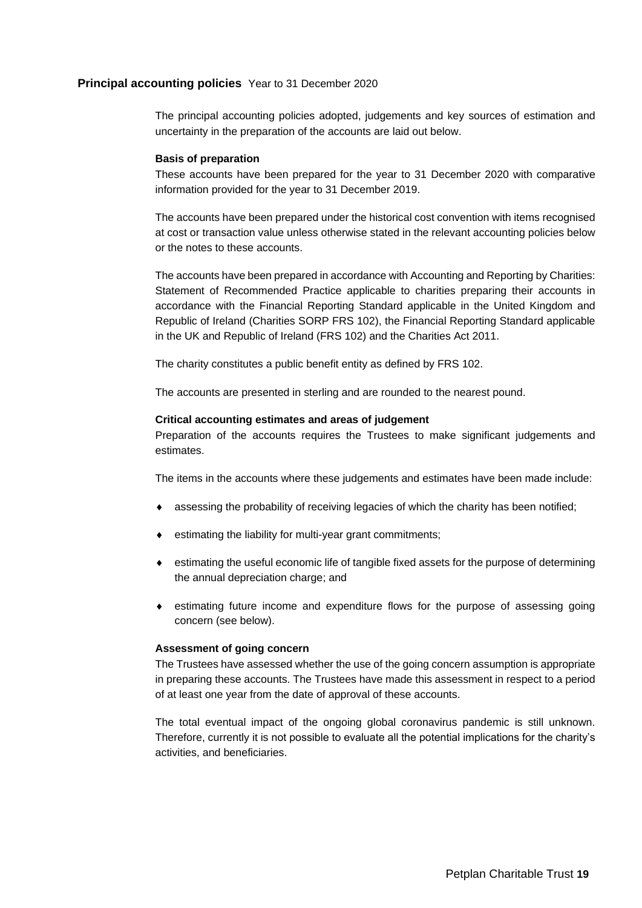<span id="page-20-0"></span>The principal accounting policies adopted, judgements and key sources of estimation and uncertainty in the preparation of the accounts are laid out below.

#### **Basis of preparation**

These accounts have been prepared for the year to 31 December 2020 with comparative information provided for the year to 31 December 2019.

The accounts have been prepared under the historical cost convention with items recognised at cost or transaction value unless otherwise stated in the relevant accounting policies below or the notes to these accounts.

The accounts have been prepared in accordance with Accounting and Reporting by Charities: Statement of Recommended Practice applicable to charities preparing their accounts in accordance with the Financial Reporting Standard applicable in the United Kingdom and Republic of Ireland (Charities SORP FRS 102), the Financial Reporting Standard applicable in the UK and Republic of Ireland (FRS 102) and the Charities Act 2011.

The charity constitutes a public benefit entity as defined by FRS 102.

The accounts are presented in sterling and are rounded to the nearest pound.

## **Critical accounting estimates and areas of judgement**

Preparation of the accounts requires the Trustees to make significant judgements and estimates.

The items in the accounts where these judgements and estimates have been made include:

- assessing the probability of receiving legacies of which the charity has been notified;
- estimating the liability for multi-year grant commitments;
- estimating the useful economic life of tangible fixed assets for the purpose of determining the annual depreciation charge; and
- estimating future income and expenditure flows for the purpose of assessing going concern (see below).

## **Assessment of going concern**

The Trustees have assessed whether the use of the going concern assumption is appropriate in preparing these accounts. The Trustees have made this assessment in respect to a period of at least one year from the date of approval of these accounts.

The total eventual impact of the ongoing global coronavirus pandemic is still unknown. Therefore, currently it is not possible to evaluate all the potential implications for the charity's activities, and beneficiaries.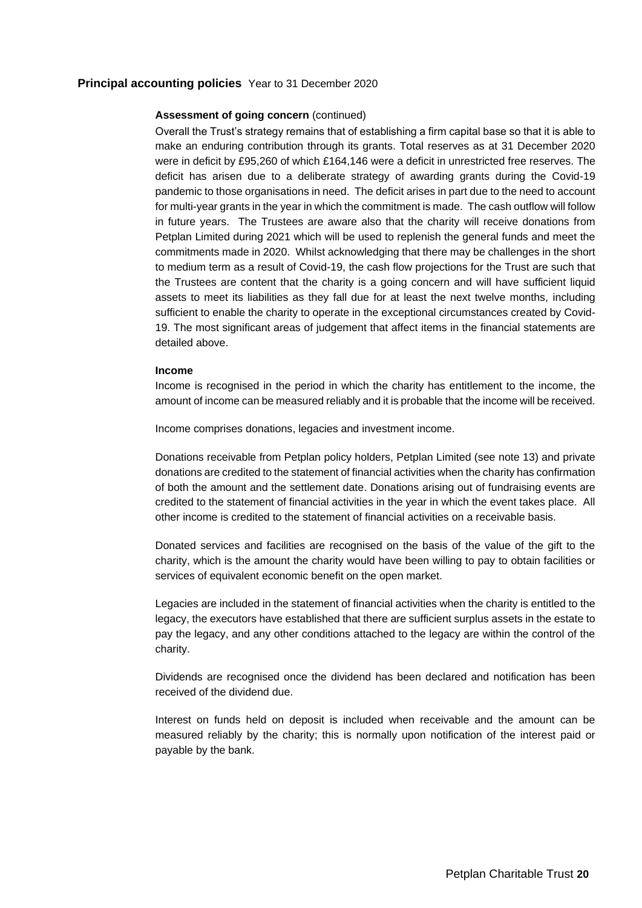## **Assessment of going concern** (continued)

Overall the Trust's strategy remains that of establishing a firm capital base so that it is able to make an enduring contribution through its grants. Total reserves as at 31 December 2020 were in deficit by £95,260 of which £164,146 were a deficit in unrestricted free reserves. The deficit has arisen due to a deliberate strategy of awarding grants during the Covid-19 pandemic to those organisations in need. The deficit arises in part due to the need to account for multi-year grants in the year in which the commitment is made. The cash outflow will follow in future years. The Trustees are aware also that the charity will receive donations from Petplan Limited during 2021 which will be used to replenish the general funds and meet the commitments made in 2020. Whilst acknowledging that there may be challenges in the short to medium term as a result of Covid-19, the cash flow projections for the Trust are such that the Trustees are content that the charity is a going concern and will have sufficient liquid assets to meet its liabilities as they fall due for at least the next twelve months, including sufficient to enable the charity to operate in the exceptional circumstances created by Covid-19. The most significant areas of judgement that affect items in the financial statements are detailed above.

#### **Income**

Income is recognised in the period in which the charity has entitlement to the income, the amount of income can be measured reliably and it is probable that the income will be received.

Income comprises donations, legacies and investment income.

Donations receivable from Petplan policy holders, Petplan Limited (see note 13) and private donations are credited to the statement of financial activities when the charity has confirmation of both the amount and the settlement date. Donations arising out of fundraising events are credited to the statement of financial activities in the year in which the event takes place. All other income is credited to the statement of financial activities on a receivable basis.

Donated services and facilities are recognised on the basis of the value of the gift to the charity, which is the amount the charity would have been willing to pay to obtain facilities or services of equivalent economic benefit on the open market.

Legacies are included in the statement of financial activities when the charity is entitled to the legacy, the executors have established that there are sufficient surplus assets in the estate to pay the legacy, and any other conditions attached to the legacy are within the control of the charity.

Dividends are recognised once the dividend has been declared and notification has been received of the dividend due.

Interest on funds held on deposit is included when receivable and the amount can be measured reliably by the charity; this is normally upon notification of the interest paid or payable by the bank.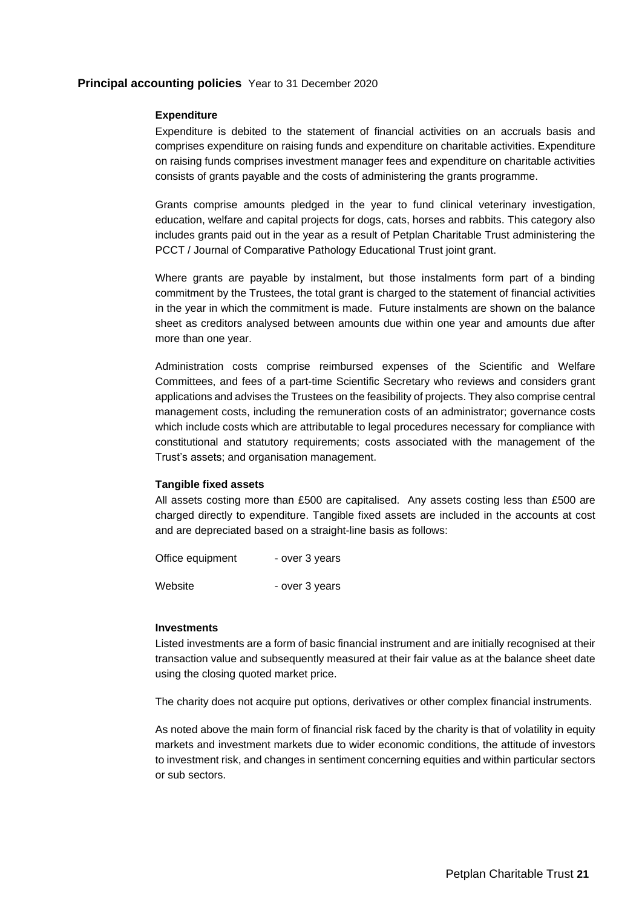### **Expenditure**

Expenditure is debited to the statement of financial activities on an accruals basis and comprises expenditure on raising funds and expenditure on charitable activities. Expenditure on raising funds comprises investment manager fees and expenditure on charitable activities consists of grants payable and the costs of administering the grants programme.

Grants comprise amounts pledged in the year to fund clinical veterinary investigation, education, welfare and capital projects for dogs, cats, horses and rabbits. This category also includes grants paid out in the year as a result of Petplan Charitable Trust administering the PCCT / Journal of Comparative Pathology Educational Trust joint grant.

Where grants are payable by instalment, but those instalments form part of a binding commitment by the Trustees, the total grant is charged to the statement of financial activities in the year in which the commitment is made. Future instalments are shown on the balance sheet as creditors analysed between amounts due within one year and amounts due after more than one year.

Administration costs comprise reimbursed expenses of the Scientific and Welfare Committees, and fees of a part-time Scientific Secretary who reviews and considers grant applications and advises the Trustees on the feasibility of projects. They also comprise central management costs, including the remuneration costs of an administrator; governance costs which include costs which are attributable to legal procedures necessary for compliance with constitutional and statutory requirements; costs associated with the management of the Trust's assets; and organisation management.

## **Tangible fixed assets**

All assets costing more than £500 are capitalised. Any assets costing less than £500 are charged directly to expenditure. Tangible fixed assets are included in the accounts at cost and are depreciated based on a straight-line basis as follows:

Office equipment - over 3 years Website - over 3 years

#### **Investments**

Listed investments are a form of basic financial instrument and are initially recognised at their transaction value and subsequently measured at their fair value as at the balance sheet date using the closing quoted market price.

The charity does not acquire put options, derivatives or other complex financial instruments.

As noted above the main form of financial risk faced by the charity is that of volatility in equity markets and investment markets due to wider economic conditions, the attitude of investors to investment risk, and changes in sentiment concerning equities and within particular sectors or sub sectors.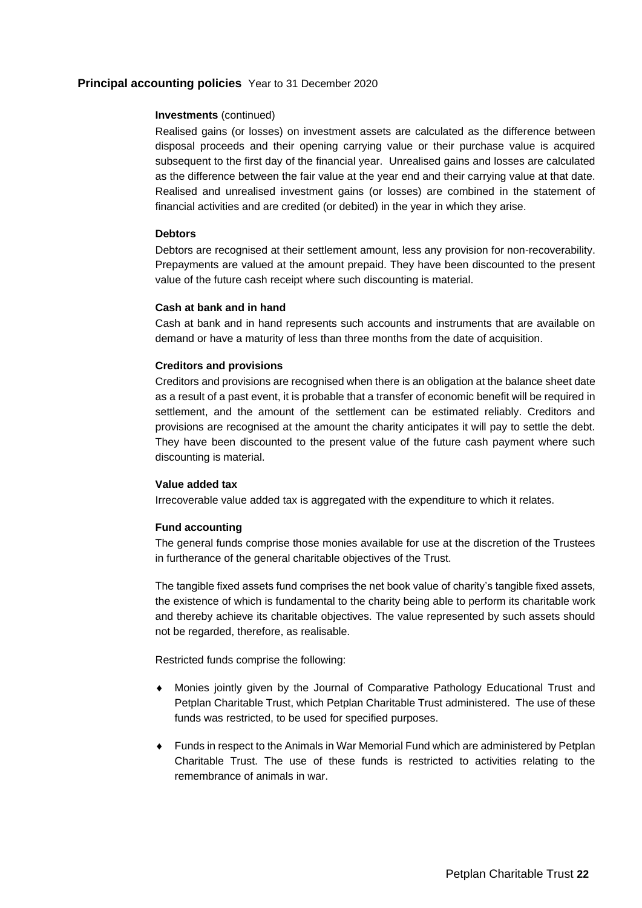## **Investments** (continued)

Realised gains (or losses) on investment assets are calculated as the difference between disposal proceeds and their opening carrying value or their purchase value is acquired subsequent to the first day of the financial year. Unrealised gains and losses are calculated as the difference between the fair value at the year end and their carrying value at that date. Realised and unrealised investment gains (or losses) are combined in the statement of financial activities and are credited (or debited) in the year in which they arise.

### **Debtors**

Debtors are recognised at their settlement amount, less any provision for non-recoverability. Prepayments are valued at the amount prepaid. They have been discounted to the present value of the future cash receipt where such discounting is material.

## **Cash at bank and in hand**

Cash at bank and in hand represents such accounts and instruments that are available on demand or have a maturity of less than three months from the date of acquisition.

#### **Creditors and provisions**

Creditors and provisions are recognised when there is an obligation at the balance sheet date as a result of a past event, it is probable that a transfer of economic benefit will be required in settlement, and the amount of the settlement can be estimated reliably. Creditors and provisions are recognised at the amount the charity anticipates it will pay to settle the debt. They have been discounted to the present value of the future cash payment where such discounting is material.

#### **Value added tax**

Irrecoverable value added tax is aggregated with the expenditure to which it relates.

## **Fund accounting**

The general funds comprise those monies available for use at the discretion of the Trustees in furtherance of the general charitable objectives of the Trust.

The tangible fixed assets fund comprises the net book value of charity's tangible fixed assets, the existence of which is fundamental to the charity being able to perform its charitable work and thereby achieve its charitable objectives. The value represented by such assets should not be regarded, therefore, as realisable.

Restricted funds comprise the following:

- Monies jointly given by the Journal of Comparative Pathology Educational Trust and Petplan Charitable Trust, which Petplan Charitable Trust administered. The use of these funds was restricted, to be used for specified purposes.
- Funds in respect to the Animals in War Memorial Fund which are administered by Petplan Charitable Trust. The use of these funds is restricted to activities relating to the remembrance of animals in war.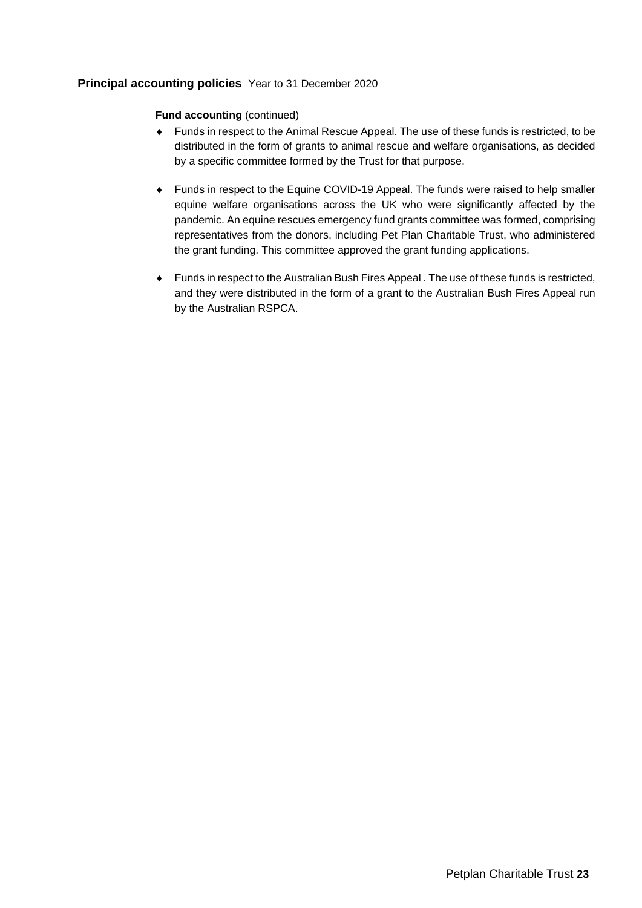## **Fund accounting** (continued)

- Funds in respect to the Animal Rescue Appeal. The use of these funds is restricted, to be distributed in the form of grants to animal rescue and welfare organisations, as decided by a specific committee formed by the Trust for that purpose.
- Funds in respect to the Equine COVID-19 Appeal. The funds were raised to help smaller equine welfare organisations across the UK who were significantly affected by the pandemic. An equine rescues emergency fund grants committee was formed, comprising representatives from the donors, including Pet Plan Charitable Trust, who administered the grant funding. This committee approved the grant funding applications.
- Funds in respect to the Australian Bush Fires Appeal . The use of these funds is restricted, and they were distributed in the form of a grant to the Australian Bush Fires Appeal run by the Australian RSPCA.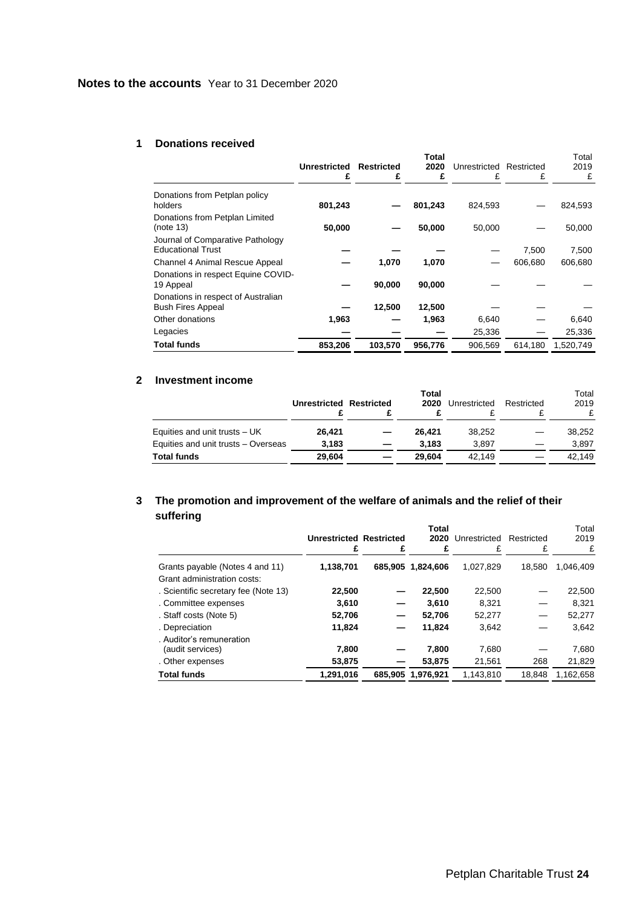### **1 Donations received**

<span id="page-25-0"></span>

|                                                                |                     |                   | Total   |              |            | Total     |
|----------------------------------------------------------------|---------------------|-------------------|---------|--------------|------------|-----------|
|                                                                | <b>Unrestricted</b> | <b>Restricted</b> | 2020    | Unrestricted | Restricted | 2019      |
|                                                                |                     | £                 | £       | £            | £          | £         |
| Donations from Petplan policy<br>holders                       | 801,243             |                   | 801,243 | 824,593      |            | 824,593   |
| Donations from Petplan Limited<br>(note 13)                    | 50,000              |                   | 50,000  | 50,000       |            | 50,000    |
| Journal of Comparative Pathology<br><b>Educational Trust</b>   |                     |                   |         |              | 7,500      | 7,500     |
| Channel 4 Animal Rescue Appeal                                 |                     | 1,070             | 1,070   |              | 606.680    | 606,680   |
| Donations in respect Equine COVID-<br>19 Appeal                |                     | 90,000            | 90,000  |              |            |           |
| Donations in respect of Australian<br><b>Bush Fires Appeal</b> |                     | 12,500            | 12,500  |              |            |           |
| Other donations                                                | 1,963               |                   | 1,963   | 6,640        |            | 6,640     |
| Legacies                                                       |                     |                   |         | 25,336       |            | 25,336    |
| <b>Total funds</b>                                             | 853,206             | 103,570           | 956,776 | 906,569      | 614,180    | 1,520,749 |

## **2 Investment income**

|                                     | <b>Unrestricted Restricted</b> | Total<br>2020 | Unrestricted | Restricted | Total<br>2019<br>£ |
|-------------------------------------|--------------------------------|---------------|--------------|------------|--------------------|
| Equities and unit trusts $-$ UK     | 26.421                         | 26.421        | 38,252       |            | 38.252             |
| Equities and unit trusts - Overseas | 3.183                          | 3.183         | 3.897        |            | 3.897              |
| <b>Total funds</b>                  | 29.604                         | 29.604        | 42.149       |            | 42.149             |

#### **3 The promotion and improvement of the welfare of animals and the relief of their suffering Total**

| .                                            | <b>Unrestricted Restricted</b><br>£ | £ | Total<br>2020     | Unrestricted<br>£ | Restricted<br>£                   | Total<br>2019<br>£ |
|----------------------------------------------|-------------------------------------|---|-------------------|-------------------|-----------------------------------|--------------------|
| Grants payable (Notes 4 and 11)              | 1,138,701                           |   | 685,905 1,824,606 | 1.027.829         | 18.580                            | 1.046.409          |
| Grant administration costs:                  |                                     |   |                   |                   |                                   |                    |
| . Scientific secretary fee (Note 13)         | 22,500                              |   | 22,500            | 22,500            |                                   | 22,500             |
| . Committee expenses                         | 3.610                               | - | 3.610             | 8.321             |                                   | 8.321              |
| . Staff costs (Note 5)                       | 52,706                              | — | 52.706            | 52,277            | $\overbrace{\phantom{123221111}}$ | 52,277             |
| . Depreciation                               | 11,824                              | – | 11,824            | 3,642             |                                   | 3.642              |
| . Auditor's remuneration<br>(audit services) | 7,800                               |   | 7,800             | 7,680             |                                   | 7,680              |
| . Other expenses                             | 53,875                              |   | 53,875            | 21,561            | 268                               | 21,829             |
| <b>Total funds</b>                           | 1,291,016                           |   | 685.905 1.976.921 | 1.143.810         | 18.848                            | 1.162.658          |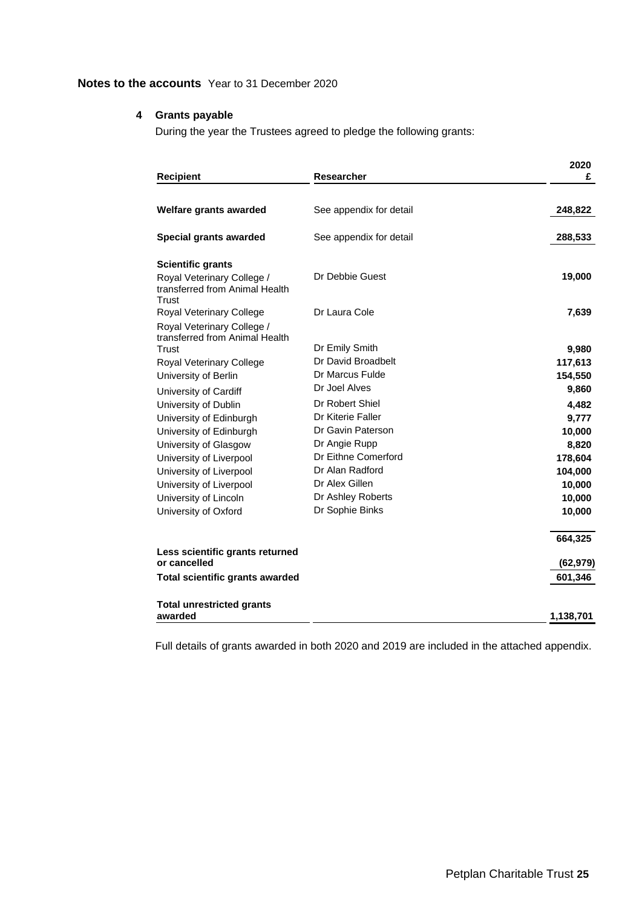## **4 Grants payable**

During the year the Trustees agreed to pledge the following grants:

|                                                                       |                         | 2020      |
|-----------------------------------------------------------------------|-------------------------|-----------|
| <b>Recipient</b>                                                      | <b>Researcher</b>       | £         |
| Welfare grants awarded                                                | See appendix for detail | 248,822   |
|                                                                       |                         |           |
| Special grants awarded                                                | See appendix for detail | 288,533   |
| <b>Scientific grants</b>                                              |                         |           |
| Royal Veterinary College /<br>transferred from Animal Health<br>Trust | Dr Debbie Guest         | 19,000    |
| Royal Veterinary College                                              | Dr Laura Cole           | 7,639     |
| Royal Veterinary College /<br>transferred from Animal Health          |                         |           |
| Trust                                                                 | Dr Emily Smith          | 9,980     |
| Royal Veterinary College                                              | Dr David Broadbelt      | 117,613   |
| University of Berlin                                                  | Dr Marcus Fulde         | 154,550   |
| University of Cardiff                                                 | Dr Joel Alves           | 9,860     |
| University of Dublin                                                  | Dr Robert Shiel         | 4,482     |
| University of Edinburgh                                               | Dr Kiterie Faller       | 9,777     |
| University of Edinburgh                                               | Dr Gavin Paterson       | 10,000    |
| University of Glasgow                                                 | Dr Angie Rupp           | 8,820     |
| University of Liverpool                                               | Dr Eithne Comerford     | 178,604   |
| University of Liverpool                                               | Dr Alan Radford         | 104,000   |
| University of Liverpool                                               | Dr Alex Gillen          | 10,000    |
| University of Lincoln                                                 | Dr Ashley Roberts       | 10,000    |
| University of Oxford                                                  | Dr Sophie Binks         | 10,000    |
|                                                                       |                         | 664,325   |
| Less scientific grants returned<br>or cancelled                       |                         | (62, 979) |
| <b>Total scientific grants awarded</b>                                |                         | 601,346   |
| <b>Total unrestricted grants</b>                                      |                         |           |
| awarded                                                               |                         | 1,138,701 |

Full details of grants awarded in both 2020 and 2019 are included in the attached appendix.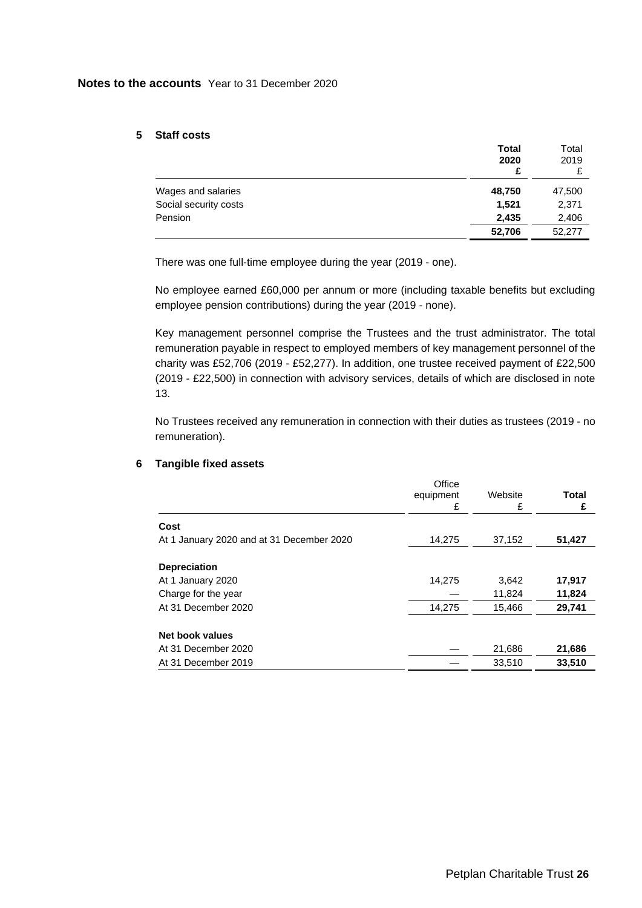## **5 Staff costs**

|                       | <b>Total</b><br>2020<br>£ | Total<br>2019 |
|-----------------------|---------------------------|---------------|
| Wages and salaries    | 48,750                    | 47,500        |
| Social security costs | 1.521                     | 2,371         |
| Pension               | 2,435                     | 2,406         |
|                       | 52,706                    | 52.277        |

There was one full-time employee during the year (2019 - one).

No employee earned £60,000 per annum or more (including taxable benefits but excluding employee pension contributions) during the year (2019 - none).

Key management personnel comprise the Trustees and the trust administrator. The total remuneration payable in respect to employed members of key management personnel of the charity was £52,706 (2019 - £52,277). In addition, one trustee received payment of £22,500 (2019 - £22,500) in connection with advisory services, details of which are disclosed in note 13.

No Trustees received any remuneration in connection with their duties as trustees (2019 - no remuneration).

## **6 Tangible fixed assets**

|                                           | Office<br>equipment<br>£ | Website<br>£ | Total<br>£ |
|-------------------------------------------|--------------------------|--------------|------------|
| Cost                                      |                          |              |            |
| At 1 January 2020 and at 31 December 2020 | 14,275                   | 37,152       | 51,427     |
| <b>Depreciation</b>                       |                          |              |            |
| At 1 January 2020                         | 14.275                   | 3,642        | 17,917     |
| Charge for the year                       |                          | 11,824       | 11,824     |
| At 31 December 2020                       | 14,275                   | 15,466       | 29,741     |
| Net book values                           |                          |              |            |
| At 31 December 2020                       |                          | 21,686       | 21,686     |
| At 31 December 2019                       |                          | 33,510       | 33,510     |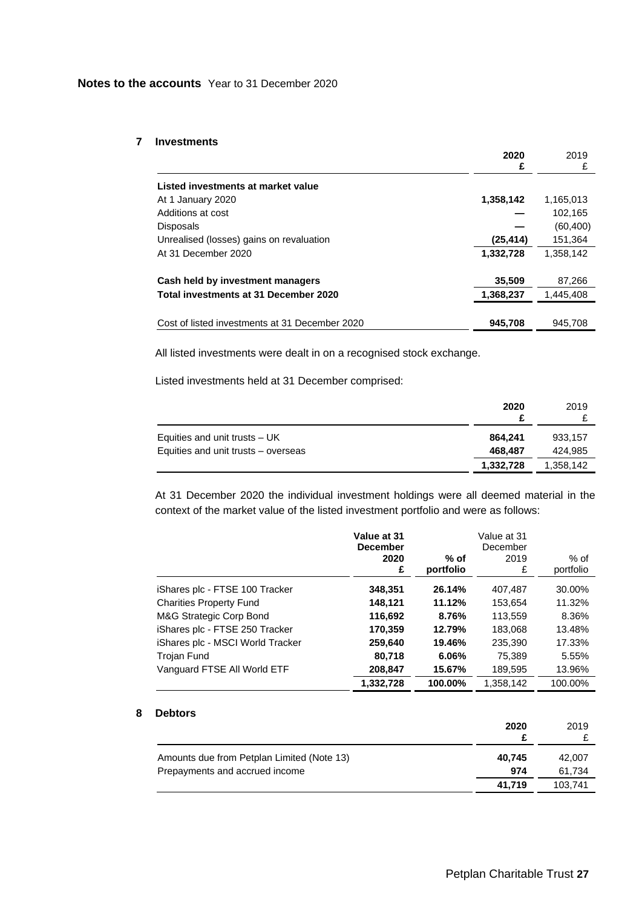## **7 Investments**

|                                                | 2020      | 2019      |
|------------------------------------------------|-----------|-----------|
|                                                | £         | £         |
| Listed investments at market value             |           |           |
| At 1 January 2020                              | 1,358,142 | 1,165,013 |
| Additions at cost                              |           | 102.165   |
| <b>Disposals</b>                               |           | (60, 400) |
| Unrealised (losses) gains on revaluation       | (25, 414) | 151,364   |
| At 31 December 2020                            | 1,332,728 | 1,358,142 |
| Cash held by investment managers               | 35,509    | 87,266    |
| Total investments at 31 December 2020          | 1,368,237 | 1.445.408 |
|                                                |           |           |
| Cost of listed investments at 31 December 2020 | 945,708   | 945.708   |
|                                                |           |           |

All listed investments were dealt in on a recognised stock exchange.

Listed investments held at 31 December comprised:

|                                     | 2020      | 2019      |
|-------------------------------------|-----------|-----------|
| Equities and unit trusts $-$ UK     | 864.241   | 933.157   |
| Equities and unit trusts – overseas | 468.487   | 424.985   |
|                                     | 1,332,728 | 1,358,142 |

At 31 December 2020 the individual investment holdings were all deemed material in the context of the market value of the listed investment portfolio and were as follows:

|                                  | Value at 31<br><b>December</b> |                   | Value at 31<br>December |                   |
|----------------------------------|--------------------------------|-------------------|-------------------------|-------------------|
|                                  | 2020<br>£                      | % of<br>portfolio | 2019<br>£               | % of<br>portfolio |
| iShares plc - FTSE 100 Tracker   | 348,351                        | 26.14%            | 407,487                 | 30.00%            |
| <b>Charities Property Fund</b>   | 148,121                        | 11.12%            | 153,654                 | 11.32%            |
| M&G Strategic Corp Bond          | 116,692                        | 8.76%             | 113,559                 | 8.36%             |
| iShares plc - FTSE 250 Tracker   | 170,359                        | 12.79%            | 183,068                 | 13.48%            |
| iShares plc - MSCI World Tracker | 259,640                        | 19.46%            | 235,390                 | 17.33%            |
| Trojan Fund                      | 80,718                         | 6.06%             | 75,389                  | 5.55%             |
| Vanguard FTSE All World ETF      | 208,847                        | 15.67%            | 189,595                 | 13.96%            |
|                                  | 1,332,728                      | 100.00%           | 1,358,142               | 100.00%           |

## **8 Debtors**

|                                            | 2020   | 2019    |
|--------------------------------------------|--------|---------|
| Amounts due from Petplan Limited (Note 13) | 40.745 | 42,007  |
| Prepayments and accrued income             | 974    | 61.734  |
|                                            | 41.719 | 103.741 |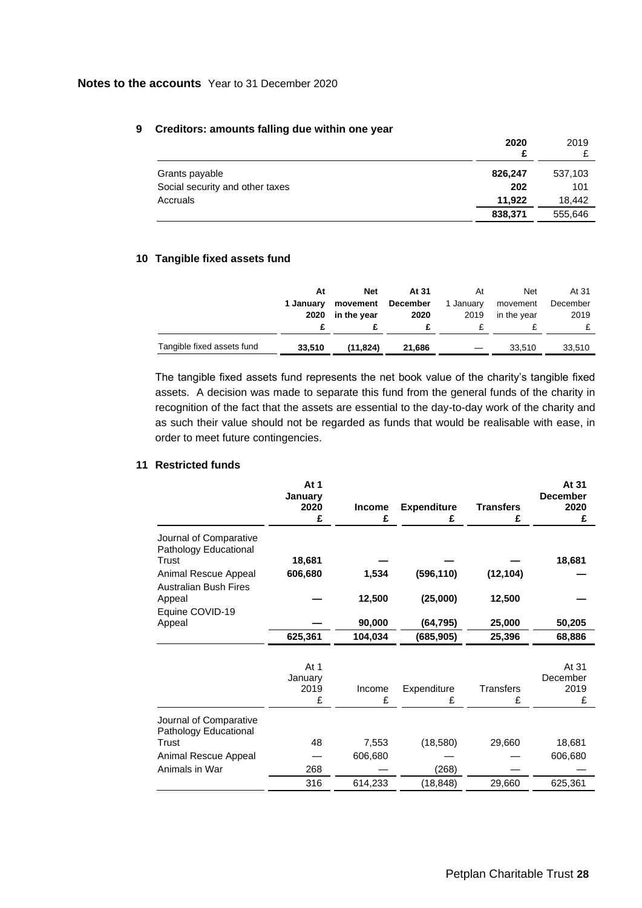| orcanors. amounts railing auc within one year     | 2020           | 2019           |
|---------------------------------------------------|----------------|----------------|
| Grants payable<br>Social security and other taxes | 826,247<br>202 | 537,103<br>101 |
| Accruals                                          | 11.922         | 18.442         |
|                                                   | 838,371        | 555,646        |

## **9 Creditors: amounts falling due within one year**

## **10 Tangible fixed assets fund**

|                            | At        | <b>Net</b>  | At 31    | At        | <b>Net</b>  | At 31    |
|----------------------------|-----------|-------------|----------|-----------|-------------|----------|
|                            | 1 January | movement    | December | 1 January | movement    | December |
|                            | 2020      | in the year | 2020     | 2019      | in the year | 2019     |
| Tangible fixed assets fund | 33.510    | (11, 824)   | 21.686   |           | 33.510      | 33,510   |

The tangible fixed assets fund represents the net book value of the charity's tangible fixed assets. A decision was made to separate this fund from the general funds of the charity in recognition of the fact that the assets are essential to the day-to-day work of the charity and as such their value should not be regarded as funds that would be realisable with ease, in order to meet future contingencies.

## **11 Restricted funds**

|                                                          | At 1<br>January<br>2020<br>£ | <b>Income</b><br>£ | <b>Expenditure</b><br>£ | <b>Transfers</b><br>£ | At 31<br><b>December</b><br>2020<br>£ |
|----------------------------------------------------------|------------------------------|--------------------|-------------------------|-----------------------|---------------------------------------|
| Journal of Comparative<br>Pathology Educational<br>Trust | 18,681                       |                    |                         |                       | 18,681                                |
| Animal Rescue Appeal<br><b>Australian Bush Fires</b>     | 606,680                      | 1,534              | (596, 110)              | (12, 104)             |                                       |
| Appeal<br>Equine COVID-19                                |                              | 12,500             | (25,000)                | 12,500                |                                       |
| Appeal                                                   |                              | 90,000             | (64,795)                | 25,000                | 50,205                                |
|                                                          | 625,361                      | 104,034            | (685,905)               | 25,396                | 68,886                                |
|                                                          |                              |                    |                         |                       |                                       |
|                                                          | At $1$<br>January            |                    |                         |                       | At 31<br>December                     |
|                                                          | 2019<br>£                    | Income<br>£        | Expenditure<br>£        | <b>Transfers</b><br>£ | 2019<br>£                             |
| Journal of Comparative<br>Pathology Educational          |                              |                    |                         |                       |                                       |
| Trust                                                    | 48                           | 7,553              | (18, 580)               | 29,660                | 18,681                                |
| Animal Rescue Appeal                                     |                              | 606,680            |                         |                       | 606,680                               |
| Animals in War                                           | 268                          |                    | (268)                   |                       |                                       |
|                                                          | 316                          | 614,233            | (18, 848)               | 29,660                | 625,361                               |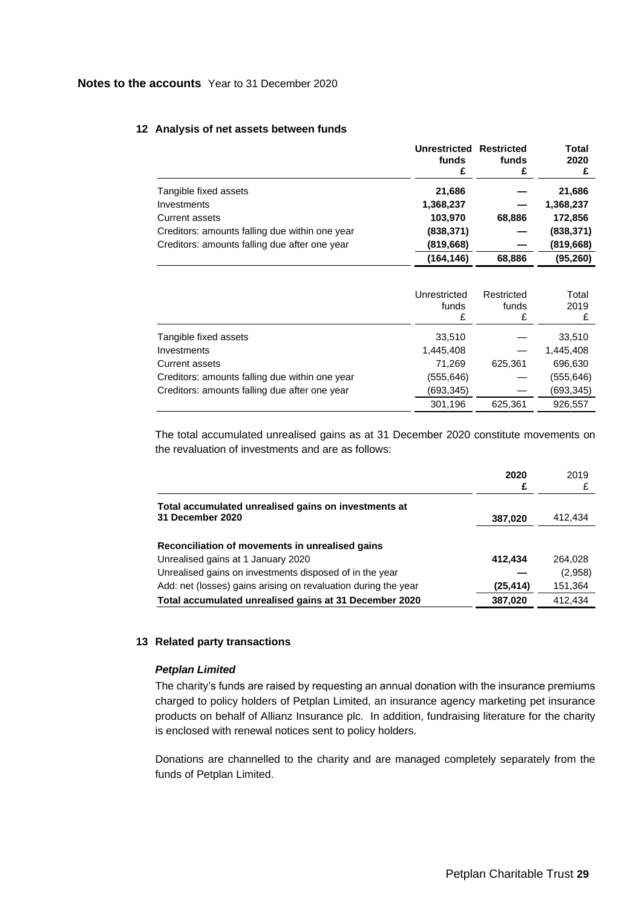|                                                | Unrestricted Restricted<br>funds | funds  | Total<br>2020 |
|------------------------------------------------|----------------------------------|--------|---------------|
|                                                | £                                | £      |               |
| Tangible fixed assets                          | 21,686                           |        | 21,686        |
| Investments                                    | 1,368,237                        |        | 1,368,237     |
| <b>Current assets</b>                          | 103,970                          | 68,886 | 172,856       |
| Creditors: amounts falling due within one year | (838, 371)                       |        | (838, 371)    |
| Creditors: amounts falling due after one year  | (819, 668)                       |        | (819, 668)    |
|                                                | (164,146)                        | 68,886 | (95, 260)     |

#### **12 Analysis of net assets between funds**

|                                                | Unrestricted<br>funds<br>£ | Restricted<br>funds<br>£ | Total<br>2019 |
|------------------------------------------------|----------------------------|--------------------------|---------------|
| Tangible fixed assets                          | 33,510                     |                          | 33,510        |
| Investments                                    | 1,445,408                  |                          | 1,445,408     |
| Current assets                                 | 71,269                     | 625,361                  | 696,630       |
| Creditors: amounts falling due within one year | (555,646)                  |                          | (555, 646)    |
| Creditors: amounts falling due after one year  | (693,345)                  |                          | (693, 345)    |
|                                                | 301,196                    | 625,361                  | 926,557       |

The total accumulated unrealised gains as at 31 December 2020 constitute movements on the revaluation of investments and are as follows:

|                                                                          | 2020<br>£ | 2019    |
|--------------------------------------------------------------------------|-----------|---------|
| Total accumulated unrealised gains on investments at<br>31 December 2020 | 387,020   | 412.434 |
| Reconciliation of movements in unrealised gains                          |           |         |
| Unrealised gains at 1 January 2020                                       | 412,434   | 264.028 |
| Unrealised gains on investments disposed of in the year                  |           | (2,958) |
| Add: net (losses) gains arising on revaluation during the year           | (25, 414) | 151,364 |
| Total accumulated unrealised gains at 31 December 2020                   | 387,020   | 412.434 |

## **13 Related party transactions**

## *Petplan Limited*

The charity's funds are raised by requesting an annual donation with the insurance premiums charged to policy holders of Petplan Limited, an insurance agency marketing pet insurance products on behalf of Allianz Insurance plc. In addition, fundraising literature for the charity is enclosed with renewal notices sent to policy holders.

Donations are channelled to the charity and are managed completely separately from the funds of Petplan Limited.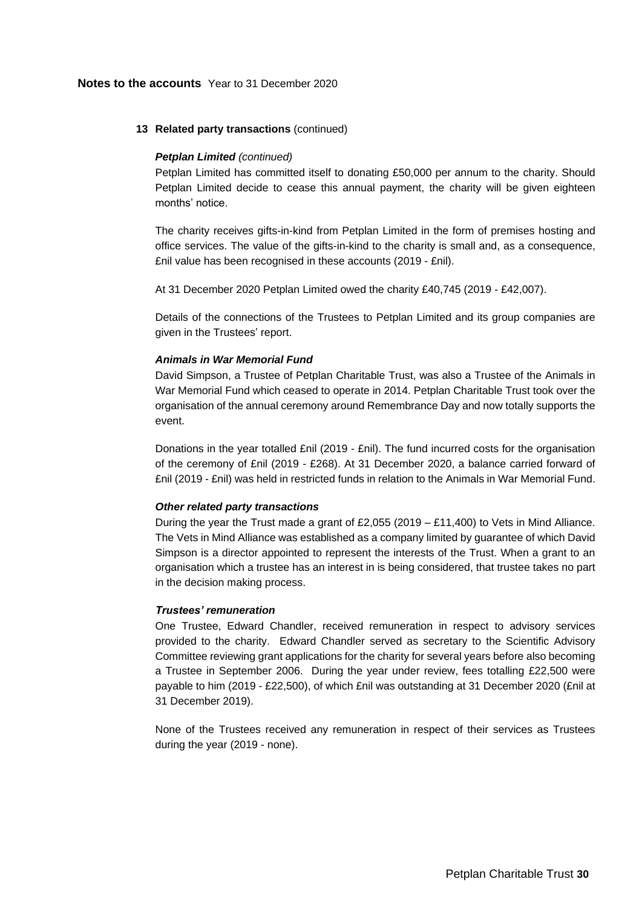## **13 Related party transactions** (continued)

## *Petplan Limited (continued)*

Petplan Limited has committed itself to donating £50,000 per annum to the charity. Should Petplan Limited decide to cease this annual payment, the charity will be given eighteen months' notice.

The charity receives gifts-in-kind from Petplan Limited in the form of premises hosting and office services. The value of the gifts-in-kind to the charity is small and, as a consequence, £nil value has been recognised in these accounts (2019 - £nil).

At 31 December 2020 Petplan Limited owed the charity £40,745 (2019 - £42,007).

Details of the connections of the Trustees to Petplan Limited and its group companies are given in the Trustees' report.

## *Animals in War Memorial Fund*

David Simpson, a Trustee of Petplan Charitable Trust, was also a Trustee of the Animals in War Memorial Fund which ceased to operate in 2014. Petplan Charitable Trust took over the organisation of the annual ceremony around Remembrance Day and now totally supports the event.

Donations in the year totalled £nil (2019 - £nil). The fund incurred costs for the organisation of the ceremony of £nil (2019 - £268). At 31 December 2020, a balance carried forward of £nil (2019 - £nil) was held in restricted funds in relation to the Animals in War Memorial Fund.

## *Other related party transactions*

During the year the Trust made a grant of £2,055 (2019 – £11,400) to Vets in Mind Alliance. The Vets in Mind Alliance was established as a company limited by guarantee of which David Simpson is a director appointed to represent the interests of the Trust. When a grant to an organisation which a trustee has an interest in is being considered, that trustee takes no part in the decision making process.

## *Trustees' remuneration*

One Trustee, Edward Chandler, received remuneration in respect to advisory services provided to the charity. Edward Chandler served as secretary to the Scientific Advisory Committee reviewing grant applications for the charity for several years before also becoming a Trustee in September 2006. During the year under review, fees totalling £22,500 were payable to him (2019 - £22,500), of which £nil was outstanding at 31 December 2020 (£nil at 31 December 2019).

None of the Trustees received any remuneration in respect of their services as Trustees during the year (2019 - none).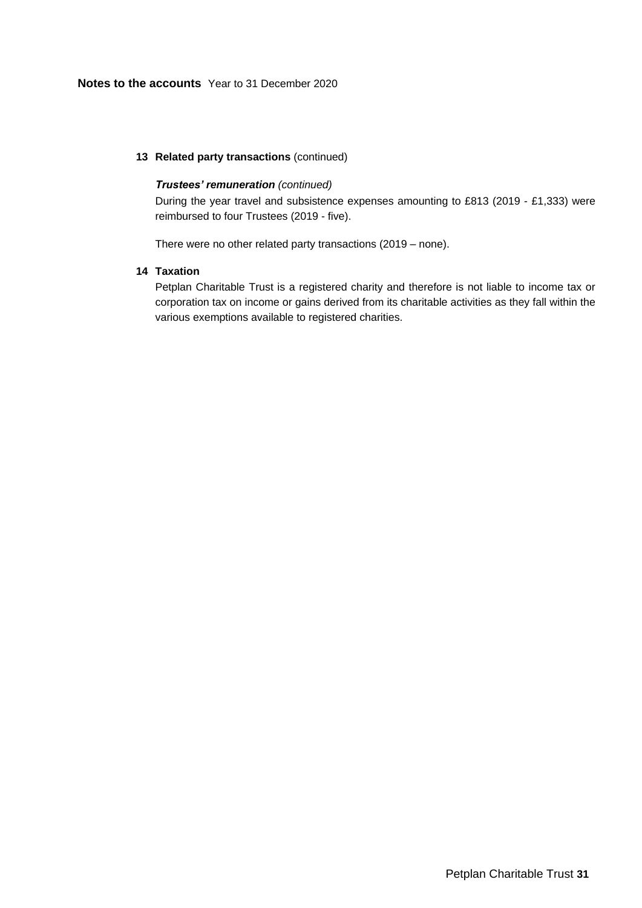## **13 Related party transactions** (continued)

## *Trustees' remuneration (continued)*

During the year travel and subsistence expenses amounting to £813 (2019 - £1,333) were reimbursed to four Trustees (2019 - five).

There were no other related party transactions (2019 – none).

## **14 Taxation**

Petplan Charitable Trust is a registered charity and therefore is not liable to income tax or corporation tax on income or gains derived from its charitable activities as they fall within the various exemptions available to registered charities.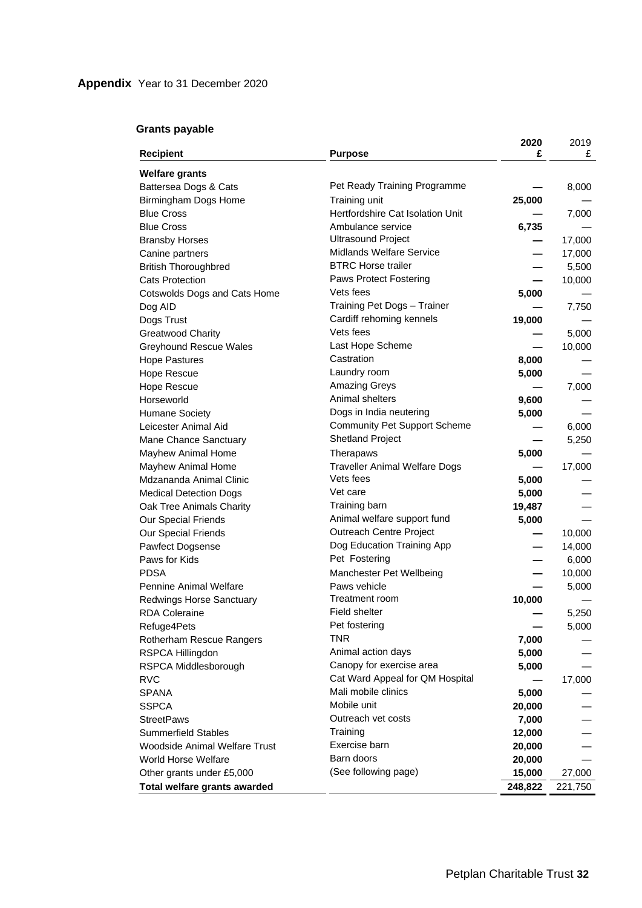## **Grants payable**

| <b>Recipient</b>                               | <b>Purpose</b>                                    | 2020<br>£ | 2019<br>£       |
|------------------------------------------------|---------------------------------------------------|-----------|-----------------|
|                                                |                                                   |           |                 |
| <b>Welfare grants</b>                          |                                                   |           |                 |
| Battersea Dogs & Cats                          | Pet Ready Training Programme                      |           | 8,000           |
| Birmingham Dogs Home<br><b>Blue Cross</b>      | Training unit<br>Hertfordshire Cat Isolation Unit | 25,000    |                 |
| <b>Blue Cross</b>                              | Ambulance service                                 |           | 7,000           |
|                                                | <b>Ultrasound Project</b>                         | 6,735     | 17,000          |
| <b>Bransby Horses</b>                          | <b>Midlands Welfare Service</b>                   |           |                 |
| Canine partners<br><b>British Thoroughbred</b> | <b>BTRC Horse trailer</b>                         |           | 17,000<br>5,500 |
| <b>Cats Protection</b>                         | Paws Protect Fostering                            |           | 10,000          |
| Cotswolds Dogs and Cats Home                   | Vets fees                                         | 5,000     |                 |
| Dog AID                                        | Training Pet Dogs - Trainer                       |           | 7,750           |
| Dogs Trust                                     | Cardiff rehoming kennels                          | 19,000    |                 |
| <b>Greatwood Charity</b>                       | Vets fees                                         |           | 5,000           |
| <b>Greyhound Rescue Wales</b>                  | Last Hope Scheme                                  |           | 10,000          |
| <b>Hope Pastures</b>                           | Castration                                        | 8,000     |                 |
| Hope Rescue                                    | Laundry room                                      | 5,000     |                 |
| Hope Rescue                                    | <b>Amazing Greys</b>                              |           | 7,000           |
| Horseworld                                     | Animal shelters                                   | 9,600     |                 |
| <b>Humane Society</b>                          | Dogs in India neutering                           | 5,000     |                 |
| Leicester Animal Aid                           | <b>Community Pet Support Scheme</b>               |           | 6,000           |
| Mane Chance Sanctuary                          | <b>Shetland Project</b>                           |           | 5,250           |
| Mayhew Animal Home                             | Therapaws                                         | 5,000     |                 |
| Mayhew Animal Home                             | <b>Traveller Animal Welfare Dogs</b>              |           | 17,000          |
| Mdzananda Animal Clinic                        | Vets fees                                         | 5,000     |                 |
| <b>Medical Detection Dogs</b>                  | Vet care                                          | 5,000     |                 |
| Oak Tree Animals Charity                       | Training barn                                     | 19,487    |                 |
| Our Special Friends                            | Animal welfare support fund                       | 5,000     |                 |
| Our Special Friends                            | Outreach Centre Project                           |           | 10,000          |
| Pawfect Dogsense                               | Dog Education Training App                        |           | 14,000          |
| Paws for Kids                                  | Pet Fostering                                     |           | 6,000           |
| <b>PDSA</b>                                    | Manchester Pet Wellbeing                          |           | 10,000          |
| Pennine Animal Welfare                         | Paws vehicle                                      |           | 5,000           |
| Redwings Horse Sanctuary                       | Treatment room                                    | 10,000    |                 |
| <b>RDA Coleraine</b>                           | Field shelter                                     |           | 5,250           |
| Refuge4Pets                                    | Pet fostering                                     |           | 5,000           |
| Rotherham Rescue Rangers                       | <b>TNR</b>                                        | 7,000     |                 |
| RSPCA Hillingdon                               | Animal action days                                | 5,000     |                 |
| RSPCA Middlesborough                           | Canopy for exercise area                          | 5,000     |                 |
| <b>RVC</b>                                     | Cat Ward Appeal for QM Hospital                   |           | 17,000          |
| <b>SPANA</b>                                   | Mali mobile clinics                               | 5,000     |                 |
| <b>SSPCA</b>                                   | Mobile unit                                       | 20,000    |                 |
| <b>StreetPaws</b>                              | Outreach vet costs                                | 7,000     |                 |
| <b>Summerfield Stables</b>                     | Training                                          | 12,000    |                 |
| <b>Woodside Animal Welfare Trust</b>           | Exercise barn                                     | 20,000    |                 |
| World Horse Welfare                            | Barn doors                                        | 20,000    |                 |
| Other grants under £5,000                      | (See following page)                              | 15,000    | 27,000          |
| Total welfare grants awarded                   |                                                   | 248,822   | 221,750         |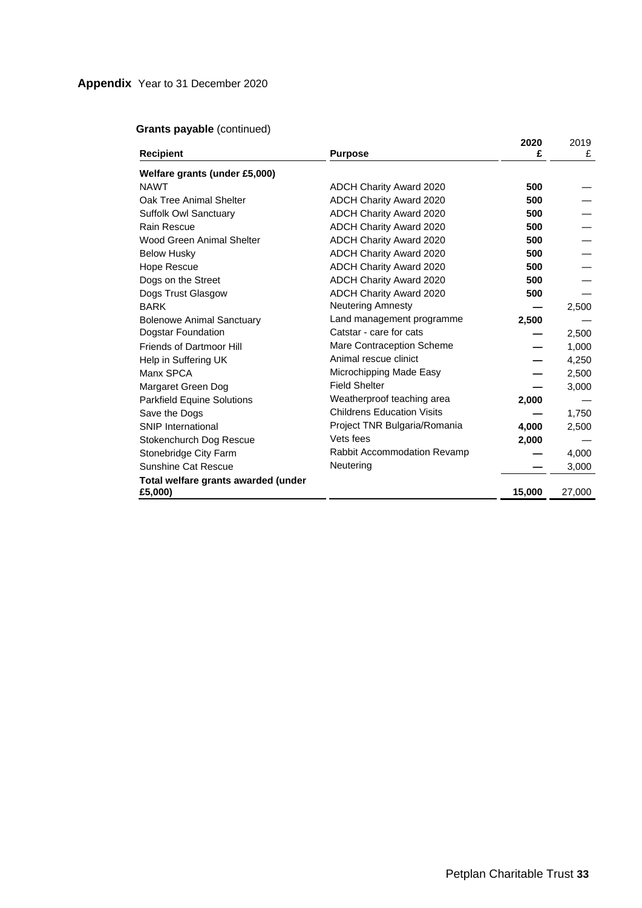|                                     |                                    | 2020   | 2019   |
|-------------------------------------|------------------------------------|--------|--------|
| <b>Recipient</b>                    | <b>Purpose</b>                     | £      | £      |
| Welfare grants (under £5,000)       |                                    |        |        |
| <b>NAWT</b>                         | <b>ADCH Charity Award 2020</b>     | 500    |        |
| Oak Tree Animal Shelter             | ADCH Charity Award 2020            | 500    |        |
| Suffolk Owl Sanctuary               | ADCH Charity Award 2020            | 500    |        |
| <b>Rain Rescue</b>                  | <b>ADCH Charity Award 2020</b>     | 500    |        |
| Wood Green Animal Shelter           | <b>ADCH Charity Award 2020</b>     | 500    |        |
| <b>Below Husky</b>                  | <b>ADCH Charity Award 2020</b>     | 500    |        |
| Hope Rescue                         | ADCH Charity Award 2020            | 500    |        |
| Dogs on the Street                  | ADCH Charity Award 2020            | 500    |        |
| Dogs Trust Glasgow                  | <b>ADCH Charity Award 2020</b>     | 500    |        |
| <b>BARK</b>                         | Neutering Amnesty                  |        | 2,500  |
| <b>Bolenowe Animal Sanctuary</b>    | Land management programme          | 2,500  |        |
| Dogstar Foundation                  | Catstar - care for cats            |        | 2,500  |
| Friends of Dartmoor Hill            | Mare Contraception Scheme          |        | 1,000  |
| Help in Suffering UK                | Animal rescue clinict              |        | 4,250  |
| Manx SPCA                           | Microchipping Made Easy            |        | 2,500  |
| Margaret Green Dog                  | <b>Field Shelter</b>               |        | 3,000  |
| <b>Parkfield Equine Solutions</b>   | Weatherproof teaching area         | 2,000  |        |
| Save the Dogs                       | <b>Childrens Education Visits</b>  |        | 1,750  |
| <b>SNIP International</b>           | Project TNR Bulgaria/Romania       | 4,000  | 2,500  |
| Stokenchurch Dog Rescue             | Vets fees                          | 2,000  |        |
| Stonebridge City Farm               | <b>Rabbit Accommodation Revamp</b> |        | 4,000  |
| <b>Sunshine Cat Rescue</b>          | Neutering                          |        | 3,000  |
| Total welfare grants awarded (under |                                    |        |        |
| £5,000)                             |                                    | 15,000 | 27,000 |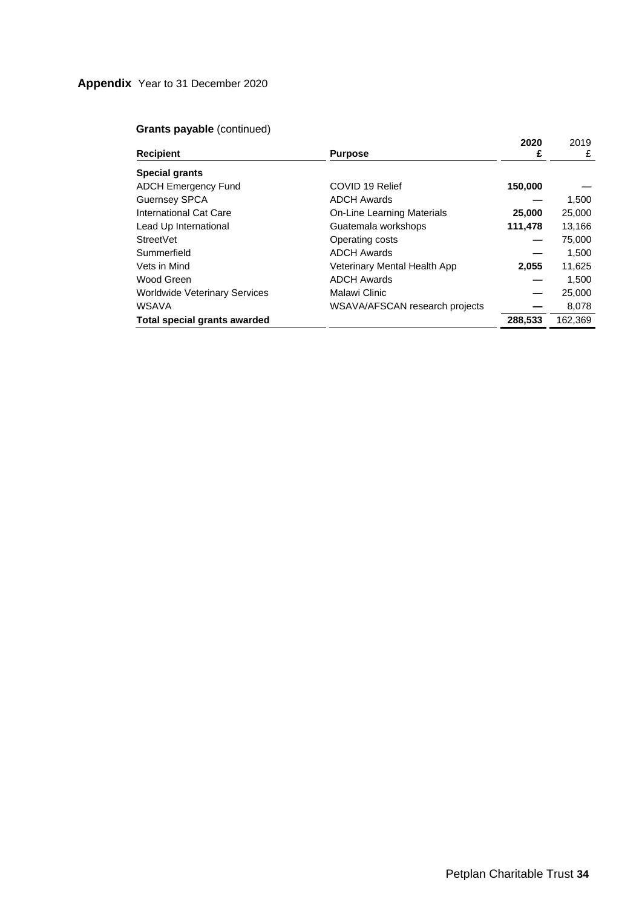|                                      |                                | 2020    | 2019    |
|--------------------------------------|--------------------------------|---------|---------|
| <b>Recipient</b>                     | <b>Purpose</b>                 | £       | £       |
| <b>Special grants</b>                |                                |         |         |
| <b>ADCH Emergency Fund</b>           | COVID 19 Relief                | 150,000 |         |
| <b>Guernsey SPCA</b>                 | <b>ADCH Awards</b>             |         | 1,500   |
| International Cat Care               | On-Line Learning Materials     | 25,000  | 25,000  |
| Lead Up International                | Guatemala workshops            | 111,478 | 13,166  |
| StreetVet                            | Operating costs                |         | 75,000  |
| Summerfield                          | <b>ADCH Awards</b>             |         | 1.500   |
| Vets in Mind                         | Veterinary Mental Health App   | 2,055   | 11,625  |
| Wood Green                           | <b>ADCH Awards</b>             |         | 1,500   |
| <b>Worldwide Veterinary Services</b> | Malawi Clinic                  |         | 25,000  |
| <b>WSAVA</b>                         | WSAVA/AFSCAN research projects |         | 8,078   |
| <b>Total special grants awarded</b>  |                                | 288,533 | 162,369 |
|                                      |                                |         |         |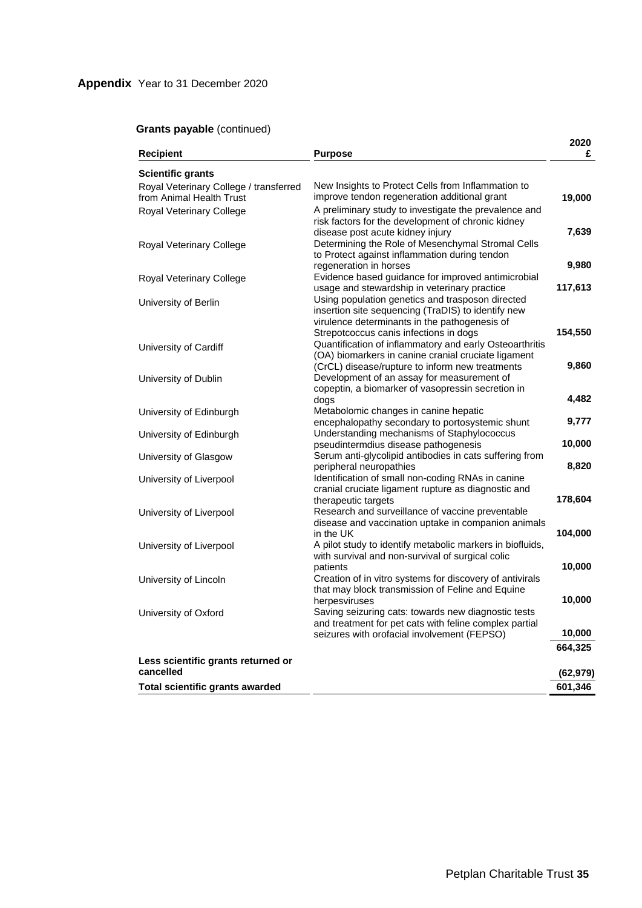|                                        |                                                                                                 | 2020     |
|----------------------------------------|-------------------------------------------------------------------------------------------------|----------|
| <b>Recipient</b>                       | Purpose                                                                                         | £        |
| <b>Scientific grants</b>               |                                                                                                 |          |
| Royal Veterinary College / transferred | New Insights to Protect Cells from Inflammation to                                              |          |
| from Animal Health Trust               | improve tendon regeneration additional grant                                                    | 19,000   |
| Royal Veterinary College               | A preliminary study to investigate the prevalence and                                           |          |
|                                        | risk factors for the development of chronic kidney                                              |          |
|                                        | disease post acute kidney injury                                                                | 7,639    |
| Royal Veterinary College               | Determining the Role of Mesenchymal Stromal Cells                                               |          |
|                                        | to Protect against inflammation during tendon                                                   |          |
|                                        | regeneration in horses                                                                          | 9,980    |
| Royal Veterinary College               | Evidence based guidance for improved antimicrobial                                              |          |
|                                        | usage and stewardship in veterinary practice                                                    | 117,613  |
| University of Berlin                   | Using population genetics and trasposon directed                                                |          |
|                                        | insertion site sequencing (TraDIS) to identify new                                              |          |
|                                        | virulence determinants in the pathogenesis of                                                   |          |
|                                        | Strepotcoccus canis infections in dogs                                                          | 154,550  |
| University of Cardiff                  | Quantification of inflammatory and early Osteoarthritis                                         |          |
|                                        | (OA) biomarkers in canine cranial cruciate ligament                                             |          |
|                                        | (CrCL) disease/rupture to inform new treatments                                                 | 9,860    |
| University of Dublin                   | Development of an assay for measurement of                                                      |          |
|                                        | copeptin, a biomarker of vasopressin secretion in                                               |          |
|                                        | dogs                                                                                            | 4,482    |
| University of Edinburgh                | Metabolomic changes in canine hepatic                                                           |          |
|                                        | encephalopathy secondary to portosystemic shunt                                                 | 9,777    |
| University of Edinburgh                | Understanding mechanisms of Staphylococcus                                                      | 10,000   |
|                                        | pseudintermdius disease pathogenesis<br>Serum anti-glycolipid antibodies in cats suffering from |          |
| University of Glasgow                  | peripheral neuropathies                                                                         | 8,820    |
|                                        | Identification of small non-coding RNAs in canine                                               |          |
| University of Liverpool                | cranial cruciate ligament rupture as diagnostic and                                             |          |
|                                        | therapeutic targets                                                                             | 178,604  |
| University of Liverpool                | Research and surveillance of vaccine preventable                                                |          |
|                                        | disease and vaccination uptake in companion animals                                             |          |
|                                        | in the UK                                                                                       | 104,000  |
| University of Liverpool                | A pilot study to identify metabolic markers in biofluids,                                       |          |
|                                        | with survival and non-survival of surgical colic                                                |          |
|                                        | patients                                                                                        | 10,000   |
| University of Lincoln                  | Creation of in vitro systems for discovery of antivirals                                        |          |
|                                        | that may block transmission of Feline and Equine                                                |          |
|                                        | herpesviruses                                                                                   | 10,000   |
| University of Oxford                   | Saving seizuring cats: towards new diagnostic tests                                             |          |
|                                        | and treatment for pet cats with feline complex partial                                          |          |
|                                        | seizures with orofacial involvement (FEPSO)                                                     | 10,000   |
|                                        |                                                                                                 | 664,325  |
| Less scientific grants returned or     |                                                                                                 |          |
| cancelled                              |                                                                                                 | (62,979) |
| Total scientific grants awarded        |                                                                                                 | 601,346  |